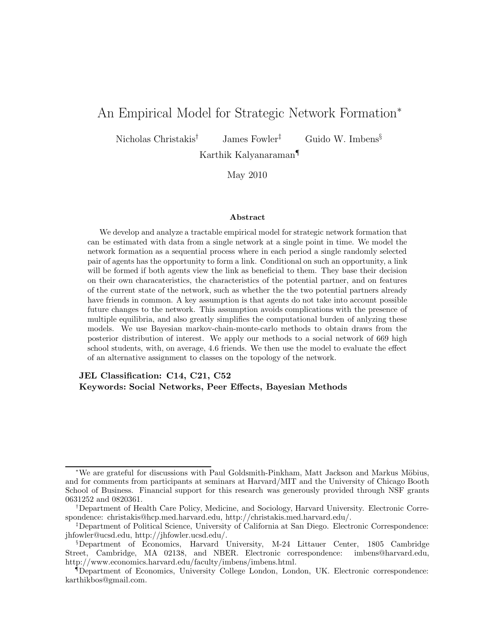# An Empirical Model for Strategic Network Formation<sup>∗</sup>

Nicholas Christakis<sup>†</sup> James Fowler<sup>‡</sup> Guido W. Imbens<sup>§</sup>

Karthik Kalyanaraman¶

May 2010

#### Abstract

We develop and analyze a tractable empirical model for strategic network formation that can be estimated with data from a single network at a single point in time. We model the network formation as a sequential process where in each period a single randomly selected pair of agents has the opportunity to form a link. Conditional on such an opportunity, a link will be formed if both agents view the link as beneficial to them. They base their decision on their own characateristics, the characteristics of the potential partner, and on features of the current state of the network, such as whether the the two potential partners already have friends in common. A key assumption is that agents do not take into account possible future changes to the network. This assumption avoids complications with the presence of multiple equilibria, and also greatly simplifies the computational burden of anlyzing these models. We use Bayesian markov-chain-monte-carlo methods to obtain draws from the posterior distribution of interest. We apply our methods to a social network of 669 high school students, with, on average, 4.6 friends. We then use the model to evaluate the effect of an alternative assignment to classes on the topology of the network.

### JEL Classification: C14, C21, C52 Keywords: Social Networks, Peer Effects, Bayesian Methods

<sup>∗</sup>We are grateful for discussions with Paul Goldsmith-Pinkham, Matt Jackson and Markus M¨obius, and for comments from participants at seminars at Harvard/MIT and the University of Chicago Booth School of Business. Financial support for this research was generously provided through NSF grants 0631252 and 0820361.

<sup>†</sup>Department of Health Care Policy, Medicine, and Sociology, Harvard University. Electronic Correspondence: christakis@hcp.med.harvard.edu, http://christakis.med.harvard.edu/.

<sup>‡</sup>Department of Political Science, University of California at San Diego. Electronic Correspondence: jhfowler@ucsd.edu, http://jhfowler.ucsd.edu/.

<sup>§</sup>Department of Economics, Harvard University, M-24 Littauer Center, 1805 Cambridge Street, Cambridge, MA 02138, and NBER. Electronic correspondence: imbens@harvard.edu, http://www.economics.harvard.edu/faculty/imbens/imbens.html.

<sup>¶</sup>Department of Economics, University College London, London, UK. Electronic correspondence: karthikbos@gmail.com.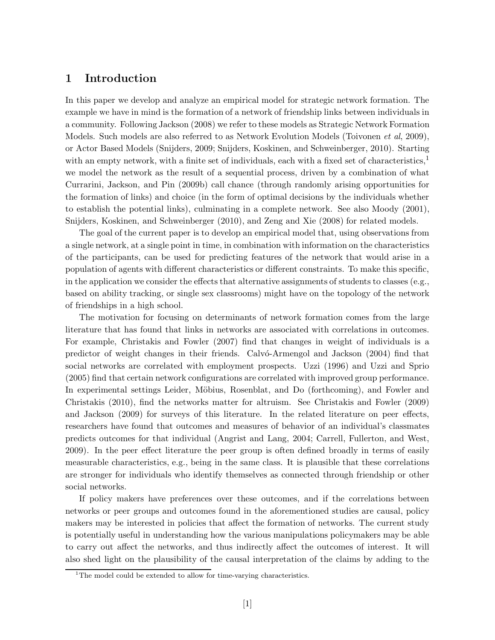## 1 Introduction

In this paper we develop and analyze an empirical model for strategic network formation. The example we have in mind is the formation of a network of friendship links between individuals in a community. Following Jackson (2008) we refer to these models as Strategic Network Formation Models. Such models are also referred to as Network Evolution Models (Toivonen *et al*, 2009), or Actor Based Models (Snijders, 2009; Snijders, Koskinen, and Schweinberger, 2010). Starting with an empty network, with a finite set of individuals, each with a fixed set of characteristics, $1$ we model the network as the result of a sequential process, driven by a combination of what Currarini, Jackson, and Pin (2009b) call chance (through randomly arising opportunities for the formation of links) and choice (in the form of optimal decisions by the individuals whether to establish the potential links), culminating in a complete network. See also Moody (2001), Snijders, Koskinen, and Schweinberger (2010), and Zeng and Xie (2008) for related models.

The goal of the current paper is to develop an empirical model that, using observations from a single network, at a single point in time, in combination with information on the characteristics of the participants, can be used for predicting features of the network that would arise in a population of agents with different characteristics or different constraints. To make this specific, in the application we consider the effects that alternative assignments of students to classes (e.g., based on ability tracking, or single sex classrooms) might have on the topology of the network of friendships in a high school.

The motivation for focusing on determinants of network formation comes from the large literature that has found that links in networks are associated with correlations in outcomes. For example, Christakis and Fowler (2007) find that changes in weight of individuals is a predictor of weight changes in their friends. Calvó-Armengol and Jackson (2004) find that social networks are correlated with employment prospects. Uzzi (1996) and Uzzi and Sprio (2005) find that certain network configurations are correlated with improved group performance. In experimental settings Leider, Möbius, Rosenblat, and Do (forthcoming), and Fowler and Christakis (2010), find the networks matter for altruism. See Christakis and Fowler (2009) and Jackson (2009) for surveys of this literature. In the related literature on peer effects, researchers have found that outcomes and measures of behavior of an individual's classmates predicts outcomes for that individual (Angrist and Lang, 2004; Carrell, Fullerton, and West, 2009). In the peer effect literature the peer group is often defined broadly in terms of easily measurable characteristics, e.g., being in the same class. It is plausible that these correlations are stronger for individuals who identify themselves as connected through friendship or other social networks.

If policy makers have preferences over these outcomes, and if the correlations between networks or peer groups and outcomes found in the aforementioned studies are causal, policy makers may be interested in policies that affect the formation of networks. The current study is potentially useful in understanding how the various manipulations policymakers may be able to carry out affect the networks, and thus indirectly affect the outcomes of interest. It will also shed light on the plausibility of the causal interpretation of the claims by adding to the

<sup>&</sup>lt;sup>1</sup>The model could be extended to allow for time-varying characteristics.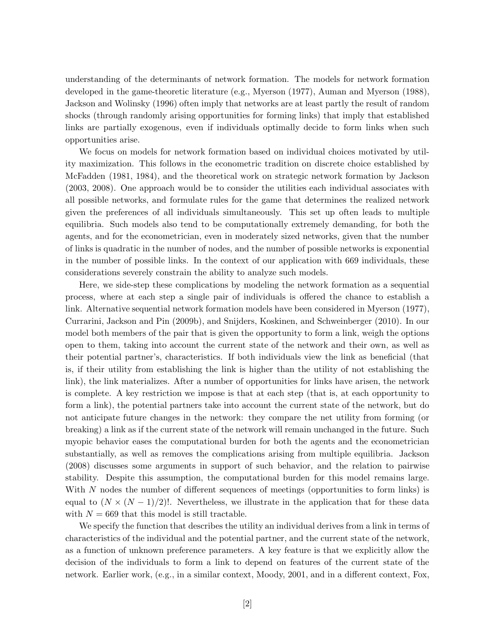understanding of the determinants of network formation. The models for network formation developed in the game-theoretic literature (e.g., Myerson (1977), Auman and Myerson (1988), Jackson and Wolinsky (1996) often imply that networks are at least partly the result of random shocks (through randomly arising opportunities for forming links) that imply that established links are partially exogenous, even if individuals optimally decide to form links when such opportunities arise.

We focus on models for network formation based on individual choices motivated by utility maximization. This follows in the econometric tradition on discrete choice established by McFadden (1981, 1984), and the theoretical work on strategic network formation by Jackson (2003, 2008). One approach would be to consider the utilities each individual associates with all possible networks, and formulate rules for the game that determines the realized network given the preferences of all individuals simultaneously. This set up often leads to multiple equilibria. Such models also tend to be computationally extremely demanding, for both the agents, and for the econometrician, even in moderately sized networks, given that the number of links is quadratic in the number of nodes, and the number of possible networks is exponential in the number of possible links. In the context of our application with 669 individuals, these considerations severely constrain the ability to analyze such models.

Here, we side-step these complications by modeling the network formation as a sequential process, where at each step a single pair of individuals is offered the chance to establish a link. Alternative sequential network formation models have been considered in Myerson (1977), Currarini, Jackson and Pin (2009b), and Snijders, Koskinen, and Schweinberger (2010). In our model both members of the pair that is given the opportunity to form a link, weigh the options open to them, taking into account the current state of the network and their own, as well as their potential partner's, characteristics. If both individuals view the link as beneficial (that is, if their utility from establishing the link is higher than the utility of not establishing the link), the link materializes. After a number of opportunities for links have arisen, the network is complete. A key restriction we impose is that at each step (that is, at each opportunity to form a link), the potential partners take into account the current state of the network, but do not anticipate future changes in the network: they compare the net utility from forming (or breaking) a link as if the current state of the network will remain unchanged in the future. Such myopic behavior eases the computational burden for both the agents and the econometrician substantially, as well as removes the complications arising from multiple equilibria. Jackson (2008) discusses some arguments in support of such behavior, and the relation to pairwise stability. Despite this assumption, the computational burden for this model remains large. With N nodes the number of different sequences of meetings (opportunities to form links) is equal to  $(N \times (N-1)/2)!$ . Nevertheless, we illustrate in the application that for these data with  $N = 669$  that this model is still tractable.

We specify the function that describes the utility an individual derives from a link in terms of characteristics of the individual and the potential partner, and the current state of the network, as a function of unknown preference parameters. A key feature is that we explicitly allow the decision of the individuals to form a link to depend on features of the current state of the network. Earlier work, (e.g., in a similar context, Moody, 2001, and in a different context, Fox,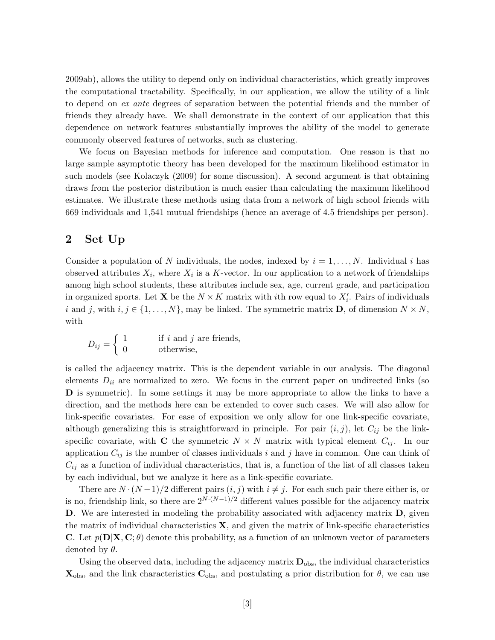2009ab), allows the utility to depend only on individual characteristics, which greatly improves the computational tractability. Specifically, in our application, we allow the utility of a link to depend on ex ante degrees of separation between the potential friends and the number of friends they already have. We shall demonstrate in the context of our application that this dependence on network features substantially improves the ability of the model to generate commonly observed features of networks, such as clustering.

We focus on Bayesian methods for inference and computation. One reason is that no large sample asymptotic theory has been developed for the maximum likelihood estimator in such models (see Kolaczyk (2009) for some discussion). A second argument is that obtaining draws from the posterior distribution is much easier than calculating the maximum likelihood estimates. We illustrate these methods using data from a network of high school friends with 669 individuals and 1,541 mutual friendships (hence an average of 4.5 friendships per person).

## 2 Set Up

Consider a population of N individuals, the nodes, indexed by  $i = 1, \ldots, N$ . Individual i has observed attributes  $X_i$ , where  $X_i$  is a K-vector. In our application to a network of friendships among high school students, these attributes include sex, age, current grade, and participation in organized sports. Let **X** be the  $N \times K$  matrix with *i*th row equal to  $X_i'$ . Pairs of individuals i and j, with  $i, j \in \{1, ..., N\}$ , may be linked. The symmetric matrix **D**, of dimension  $N \times N$ , with

$$
D_{ij} = \begin{cases} 1 & \text{if } i \text{ and } j \text{ are friends,} \\ 0 & \text{otherwise,} \end{cases}
$$

is called the adjacency matrix. This is the dependent variable in our analysis. The diagonal elements  $D_{ii}$  are normalized to zero. We focus in the current paper on undirected links (so D is symmetric). In some settings it may be more appropriate to allow the links to have a direction, and the methods here can be extended to cover such cases. We will also allow for link-specific covariates. For ease of exposition we only allow for one link-specific covariate, although generalizing this is straightforward in principle. For pair  $(i, j)$ , let  $C_{ij}$  be the linkspecific covariate, with C the symmetric  $N \times N$  matrix with typical element  $C_{ij}$ . In our application  $C_{ij}$  is the number of classes individuals i and j have in common. One can think of  $C_{ij}$  as a function of individual characteristics, that is, a function of the list of all classes taken by each individual, but we analyze it here as a link-specific covariate.

There are  $N \cdot (N-1)/2$  different pairs  $(i, j)$  with  $i \neq j$ . For each such pair there either is, or is no, friendship link, so there are  $2^{N \cdot (N-1)/2}$  different values possible for the adjacency matrix D. We are interested in modeling the probability associated with adjacency matrix D, given the matrix of individual characteristics  $\mathbf{X}$ , and given the matrix of link-specific characteristics C. Let  $p(\mathbf{D}|\mathbf{X},\mathbf{C};\theta)$  denote this probability, as a function of an unknown vector of parameters denoted by  $\theta$ .

Using the observed data, including the adjacency matrix  $D_{obs}$ , the individual characteristics  $\mathbf{X}_{\text{obs}}$ , and the link characteristics  $\mathbf{C}_{\text{obs}}$ , and postulating a prior distribution for  $\theta$ , we can use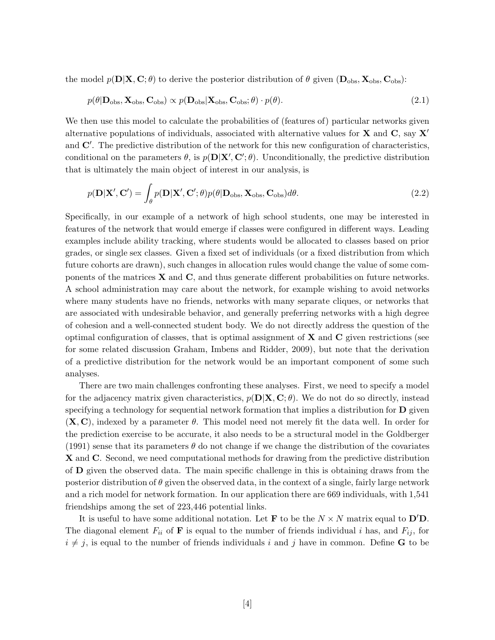the model  $p(\mathbf{D}|\mathbf{X}, \mathbf{C}; \theta)$  to derive the posterior distribution of  $\theta$  given  $(\mathbf{D}_{obs}, \mathbf{X}_{obs}, \mathbf{C}_{obs})$ :

$$
p(\theta|\mathbf{D}_{\text{obs}}, \mathbf{X}_{\text{obs}}, \mathbf{C}_{\text{obs}}) \propto p(\mathbf{D}_{\text{obs}}|\mathbf{X}_{\text{obs}}, \mathbf{C}_{\text{obs}}; \theta) \cdot p(\theta). \tag{2.1}
$$

We then use this model to calculate the probabilities of (features of) particular networks given alternative populations of individuals, associated with alternative values for **X** and **C**, say **X'** and  $\mathbb{C}'$ . The predictive distribution of the network for this new configuration of characteristics, conditional on the parameters  $\theta$ , is  $p(\mathbf{D}|\mathbf{X}', \mathbf{C}'; \theta)$ . Unconditionally, the predictive distribution that is ultimately the main object of interest in our analysis, is

$$
p(\mathbf{D}|\mathbf{X}',\mathbf{C}') = \int_{\theta} p(\mathbf{D}|\mathbf{X}',\mathbf{C}';\theta) p(\theta|\mathbf{D}_{\text{obs}},\mathbf{X}_{\text{obs}},\mathbf{C}_{\text{obs}})d\theta.
$$
 (2.2)

Specifically, in our example of a network of high school students, one may be interested in features of the network that would emerge if classes were configured in different ways. Leading examples include ability tracking, where students would be allocated to classes based on prior grades, or single sex classes. Given a fixed set of individuals (or a fixed distribution from which future cohorts are drawn), such changes in allocation rules would change the value of some components of the matrices  $X$  and  $C$ , and thus generate different probabilities on future networks. A school administration may care about the network, for example wishing to avoid networks where many students have no friends, networks with many separate cliques, or networks that are associated with undesirable behavior, and generally preferring networks with a high degree of cohesion and a well-connected student body. We do not directly address the question of the optimal configuration of classes, that is optimal assignment of  $X$  and  $C$  given restrictions (see for some related discussion Graham, Imbens and Ridder, 2009), but note that the derivation of a predictive distribution for the network would be an important component of some such analyses.

There are two main challenges confronting these analyses. First, we need to specify a model for the adjacency matrix given characteristics,  $p(\mathbf{D}|\mathbf{X}, \mathbf{C}; \theta)$ . We do not do so directly, instead specifying a technology for sequential network formation that implies a distribution for D given  $(X, C)$ , indexed by a parameter  $\theta$ . This model need not merely fit the data well. In order for the prediction exercise to be accurate, it also needs to be a structural model in the Goldberger (1991) sense that its parameters  $\theta$  do not change if we change the distribution of the covariates X and C. Second, we need computational methods for drawing from the predictive distribution of D given the observed data. The main specific challenge in this is obtaining draws from the posterior distribution of  $\theta$  given the observed data, in the context of a single, fairly large network and a rich model for network formation. In our application there are 669 individuals, with 1,541 friendships among the set of 223,446 potential links.

It is useful to have some additional notation. Let **F** to be the  $N \times N$  matrix equal to **D'D**. The diagonal element  $F_{ii}$  of **F** is equal to the number of friends individual i has, and  $F_{ij}$ , for  $i \neq j$ , is equal to the number of friends individuals i and j have in common. Define **G** to be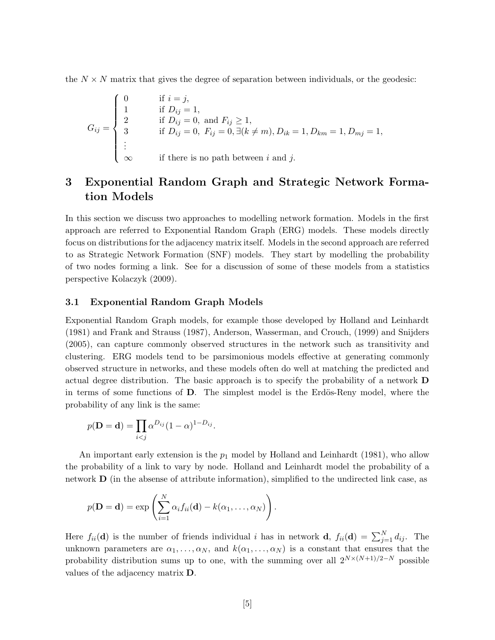the  $N \times N$  matrix that gives the degree of separation between individuals, or the geodesic:

$$
G_{ij} = \begin{cases} 0 & \text{if } i = j, \\ 1 & \text{if } D_{ij} = 1, \\ 2 & \text{if } D_{ij} = 0, \text{ and } F_{ij} \ge 1, \\ 3 & \text{if } D_{ij} = 0, F_{ij} = 0, \exists (k \neq m), D_{ik} = 1, D_{km} = 1, D_{mj} = 1, \\ \vdots & \text{if there is no path between } i \text{ and } j. \end{cases}
$$

# 3 Exponential Random Graph and Strategic Network Formation Models

In this section we discuss two approaches to modelling network formation. Models in the first approach are referred to Exponential Random Graph (ERG) models. These models directly focus on distributions for the adjacency matrix itself. Models in the second approach are referred to as Strategic Network Formation (SNF) models. They start by modelling the probability of two nodes forming a link. See for a discussion of some of these models from a statistics perspective Kolaczyk (2009).

### 3.1 Exponential Random Graph Models

Exponential Random Graph models, for example those developed by Holland and Leinhardt (1981) and Frank and Strauss (1987), Anderson, Wasserman, and Crouch, (1999) and Snijders (2005), can capture commonly observed structures in the network such as transitivity and clustering. ERG models tend to be parsimonious models effective at generating commonly observed structure in networks, and these models often do well at matching the predicted and actual degree distribution. The basic approach is to specify the probability of a network D in terms of some functions of  $D$ . The simplest model is the Erdös-Reny model, where the probability of any link is the same:

$$
p(\mathbf{D} = \mathbf{d}) = \prod_{i < j} \alpha^{D_{ij}} (1 - \alpha)^{1 - D_{ij}}
$$

An important early extension is the  $p_1$  model by Holland and Leinhardt (1981), who allow the probability of a link to vary by node. Holland and Leinhardt model the probability of a network D (in the absense of attribute information), simplified to the undirected link case, as

.

$$
p(\mathbf{D}=\mathbf{d})=\exp\left(\sum_{i=1}^N \alpha_i f_{ii}(\mathbf{d})-k(\alpha_1,\ldots,\alpha_N)\right).
$$

Here  $f_{ii}(\mathbf{d})$  is the number of friends individual i has in network  $\mathbf{d}$ ,  $f_{ii}(\mathbf{d}) = \sum_{j=1}^{N} d_{ij}$ . The unknown parameters are  $\alpha_1, \ldots, \alpha_N$ , and  $k(\alpha_1, \ldots, \alpha_N)$  is a constant that ensures that the probability distribution sums up to one, with the summing over all  $2^{N\times(N+1)/2-N}$  possible values of the adjacency matrix D.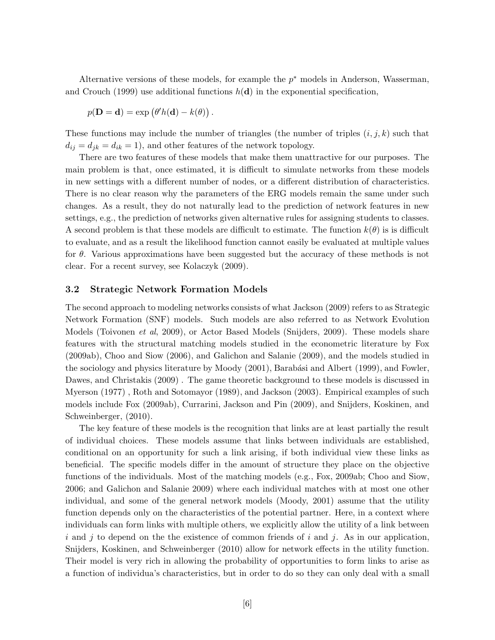Alternative versions of these models, for example the  $p^*$  models in Anderson, Wasserman, and Crouch (1999) use additional functions  $h(\mathbf{d})$  in the exponential specification,

$$
p(\mathbf{D} = \mathbf{d}) = \exp (\theta' h(\mathbf{d}) - k(\theta)).
$$

These functions may include the number of triangles (the number of triples  $(i, j, k)$  such that  $d_{ij} = d_{jk} = d_{ik} = 1$ , and other features of the network topology.

There are two features of these models that make them unattractive for our purposes. The main problem is that, once estimated, it is difficult to simulate networks from these models in new settings with a different number of nodes, or a different distribution of characteristics. There is no clear reason why the parameters of the ERG models remain the same under such changes. As a result, they do not naturally lead to the prediction of network features in new settings, e.g., the prediction of networks given alternative rules for assigning students to classes. A second problem is that these models are difficult to estimate. The function  $k(\theta)$  is is difficult to evaluate, and as a result the likelihood function cannot easily be evaluated at multiple values for θ. Various approximations have been suggested but the accuracy of these methods is not clear. For a recent survey, see Kolaczyk (2009).

#### 3.2 Strategic Network Formation Models

The second approach to modeling networks consists of what Jackson (2009) refers to as Strategic Network Formation (SNF) models. Such models are also referred to as Network Evolution Models (Toivonen et al, 2009), or Actor Based Models (Snijders, 2009). These models share features with the structural matching models studied in the econometric literature by Fox (2009ab), Choo and Siow (2006), and Galichon and Salanie (2009), and the models studied in the sociology and physics literature by Moody (2001), Barabási and Albert (1999), and Fowler, Dawes, and Christakis (2009) . The game theoretic background to these models is discussed in Myerson (1977) , Roth and Sotomayor (1989), and Jackson (2003). Empirical examples of such models include Fox (2009ab), Currarini, Jackson and Pin (2009), and Snijders, Koskinen, and Schweinberger, (2010).

The key feature of these models is the recognition that links are at least partially the result of individual choices. These models assume that links between individuals are established, conditional on an opportunity for such a link arising, if both individual view these links as beneficial. The specific models differ in the amount of structure they place on the objective functions of the individuals. Most of the matching models (e.g., Fox, 2009ab; Choo and Siow, 2006; and Galichon and Salanie 2009) where each individual matches with at most one other individual, and some of the general network models (Moody, 2001) assume that the utility function depends only on the characteristics of the potential partner. Here, in a context where individuals can form links with multiple others, we explicitly allow the utility of a link between i and j to depend on the the existence of common friends of i and j. As in our application, Snijders, Koskinen, and Schweinberger (2010) allow for network effects in the utility function. Their model is very rich in allowing the probability of opportunities to form links to arise as a function of individua's characteristics, but in order to do so they can only deal with a small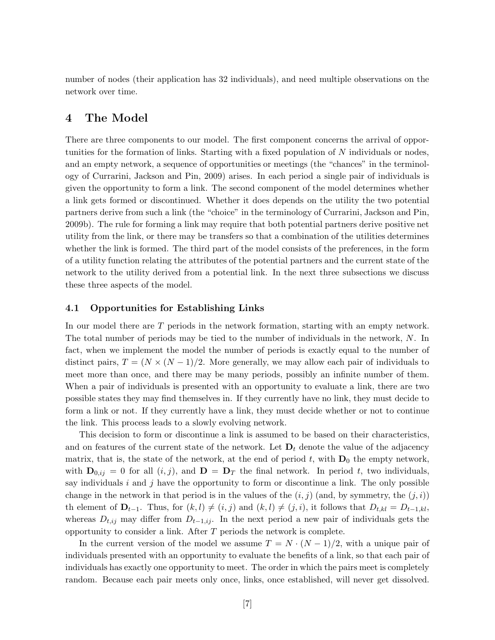number of nodes (their application has 32 individuals), and need multiple observations on the network over time.

## 4 The Model

There are three components to our model. The first component concerns the arrival of opportunities for the formation of links. Starting with a fixed population of N individuals or nodes, and an empty network, a sequence of opportunities or meetings (the "chances" in the terminology of Currarini, Jackson and Pin, 2009) arises. In each period a single pair of individuals is given the opportunity to form a link. The second component of the model determines whether a link gets formed or discontinued. Whether it does depends on the utility the two potential partners derive from such a link (the "choice" in the terminology of Currarini, Jackson and Pin, 2009b). The rule for forming a link may require that both potential partners derive positive net utility from the link, or there may be transfers so that a combination of the utilities determines whether the link is formed. The third part of the model consists of the preferences, in the form of a utility function relating the attributes of the potential partners and the current state of the network to the utility derived from a potential link. In the next three subsections we discuss these three aspects of the model.

### 4.1 Opportunities for Establishing Links

In our model there are T periods in the network formation, starting with an empty network. The total number of periods may be tied to the number of individuals in the network, N. In fact, when we implement the model the number of periods is exactly equal to the number of distinct pairs,  $T = (N \times (N-1)/2)$ . More generally, we may allow each pair of individuals to meet more than once, and there may be many periods, possibly an infinite number of them. When a pair of individuals is presented with an opportunity to evaluate a link, there are two possible states they may find themselves in. If they currently have no link, they must decide to form a link or not. If they currently have a link, they must decide whether or not to continue the link. This process leads to a slowly evolving network.

This decision to form or discontinue a link is assumed to be based on their characteristics, and on features of the current state of the network. Let  $D_t$  denote the value of the adjacency matrix, that is, the state of the network, at the end of period t, with  $D_0$  the empty network, with  $\mathbf{D}_{0,i,j} = 0$  for all  $(i, j)$ , and  $\mathbf{D} = \mathbf{D}_T$  the final network. In period t, two individuals, say individuals  $i$  and  $j$  have the opportunity to form or discontinue a link. The only possible change in the network in that period is in the values of the  $(i, j)$  (and, by symmetry, the  $(j, i)$ ) th element of  $\mathbf{D}_{t-1}$ . Thus, for  $(k, l) \neq (i, j)$  and  $(k, l) \neq (j, i)$ , it follows that  $D_{t, kl} = D_{t-1, kl}$ , whereas  $D_{t,ij}$  may differ from  $D_{t-1,ij}$ . In the next period a new pair of individuals gets the opportunity to consider a link. After T periods the network is complete.

In the current version of the model we assume  $T = N \cdot (N-1)/2$ , with a unique pair of individuals presented with an opportunity to evaluate the benefits of a link, so that each pair of individuals has exactly one opportunity to meet. The order in which the pairs meet is completely random. Because each pair meets only once, links, once established, will never get dissolved.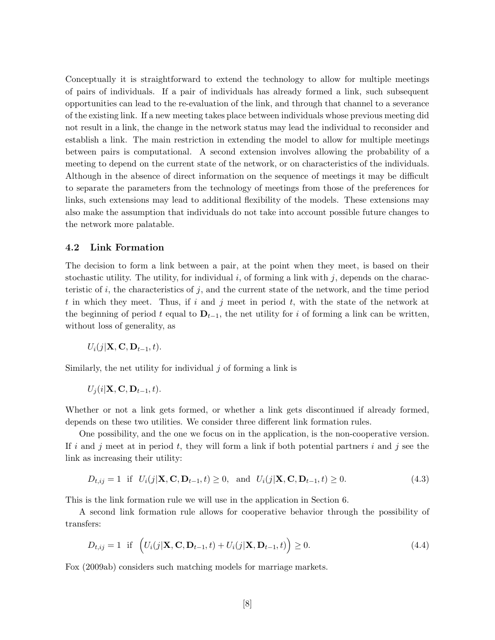Conceptually it is straightforward to extend the technology to allow for multiple meetings of pairs of individuals. If a pair of individuals has already formed a link, such subsequent opportunities can lead to the re-evaluation of the link, and through that channel to a severance of the existing link. If a new meeting takes place between individuals whose previous meeting did not result in a link, the change in the network status may lead the individual to reconsider and establish a link. The main restriction in extending the model to allow for multiple meetings between pairs is computational. A second extension involves allowing the probability of a meeting to depend on the current state of the network, or on characteristics of the individuals. Although in the absence of direct information on the sequence of meetings it may be difficult to separate the parameters from the technology of meetings from those of the preferences for links, such extensions may lead to additional flexibility of the models. These extensions may also make the assumption that individuals do not take into account possible future changes to the network more palatable.

### 4.2 Link Formation

The decision to form a link between a pair, at the point when they meet, is based on their stochastic utility. The utility, for individual i, of forming a link with j, depends on the characteristic of i, the characteristics of j, and the current state of the network, and the time period t in which they meet. Thus, if i and j meet in period t, with the state of the network at the beginning of period t equal to  $\mathbf{D}_{t-1}$ , the net utility for i of forming a link can be written, without loss of generality, as

$$
U_i(j|\mathbf{X},\mathbf{C},\mathbf{D}_{t-1},t).
$$

Similarly, the net utility for individual  $j$  of forming a link is

$$
U_j(i|\mathbf{X},\mathbf{C},\mathbf{D}_{t-1},t).
$$

Whether or not a link gets formed, or whether a link gets discontinued if already formed, depends on these two utilities. We consider three different link formation rules.

One possibility, and the one we focus on in the application, is the non-cooperative version. If i and j meet at in period t, they will form a link if both potential partners i and j see the link as increasing their utility:

$$
D_{t,ij} = 1
$$
 if  $U_i(j|\mathbf{X}, \mathbf{C}, \mathbf{D}_{t-1}, t) \ge 0$ , and  $U_i(j|\mathbf{X}, \mathbf{C}, \mathbf{D}_{t-1}, t) \ge 0$ . (4.3)

This is the link formation rule we will use in the application in Section 6.

A second link formation rule allows for cooperative behavior through the possibility of transfers:

$$
D_{t,ij} = 1 \quad \text{if} \quad \left( U_i(j|\mathbf{X}, \mathbf{C}, \mathbf{D}_{t-1}, t) + U_i(j|\mathbf{X}, \mathbf{D}_{t-1}, t) \right) \ge 0. \tag{4.4}
$$

Fox (2009ab) considers such matching models for marriage markets.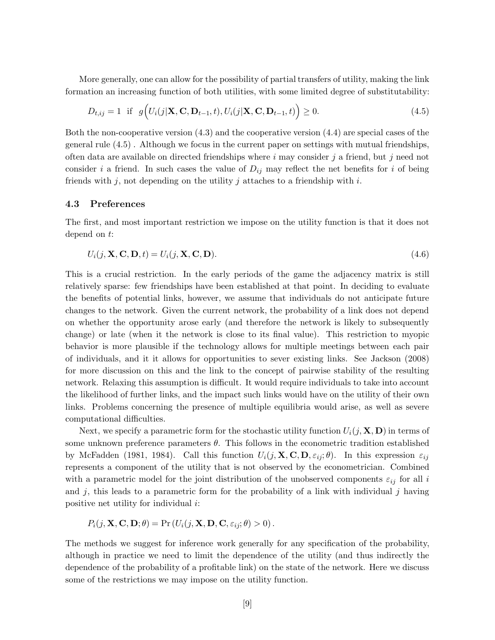More generally, one can allow for the possibility of partial transfers of utility, making the link formation an increasing function of both utilities, with some limited degree of substitutability:

$$
D_{t,ij} = 1 \quad \text{if} \quad g\Big(U_i(j|\mathbf{X}, \mathbf{C}, \mathbf{D}_{t-1}, t), U_i(j|\mathbf{X}, \mathbf{C}, \mathbf{D}_{t-1}, t)\Big) \ge 0. \tag{4.5}
$$

Both the non-cooperative version (4.3) and the cooperative version (4.4) are special cases of the general rule (4.5) . Although we focus in the current paper on settings with mutual friendships, often data are available on directed friendships where  $i$  may consider  $j$  a friend, but  $j$  need not consider i a friend. In such cases the value of  $D_{ij}$  may reflect the net benefits for i of being friends with j, not depending on the utility j attaches to a friendship with i.

### 4.3 Preferences

The first, and most important restriction we impose on the utility function is that it does not depend on t:

$$
U_i(j, \mathbf{X}, \mathbf{C}, \mathbf{D}, t) = U_i(j, \mathbf{X}, \mathbf{C}, \mathbf{D}).
$$
\n(4.6)

This is a crucial restriction. In the early periods of the game the adjacency matrix is still relatively sparse: few friendships have been established at that point. In deciding to evaluate the benefits of potential links, however, we assume that individuals do not anticipate future changes to the network. Given the current network, the probability of a link does not depend on whether the opportunity arose early (and therefore the network is likely to subsequently change) or late (when it the network is close to its final value). This restriction to myopic behavior is more plausible if the technology allows for multiple meetings between each pair of individuals, and it it allows for opportunities to sever existing links. See Jackson (2008) for more discussion on this and the link to the concept of pairwise stability of the resulting network. Relaxing this assumption is difficult. It would require individuals to take into account the likelihood of further links, and the impact such links would have on the utility of their own links. Problems concerning the presence of multiple equilibria would arise, as well as severe computational difficulties.

Next, we specify a parametric form for the stochastic utility function  $U_i(j, \mathbf{X}, \mathbf{D})$  in terms of some unknown preference parameters  $\theta$ . This follows in the econometric tradition established by McFadden (1981, 1984). Call this function  $U_i(j, \mathbf{X}, \mathbf{C}, \mathbf{D}, \varepsilon_{ij}; \theta)$ . In this expression  $\varepsilon_{ij}$ represents a component of the utility that is not observed by the econometrician. Combined with a parametric model for the joint distribution of the unobserved components  $\varepsilon_{ij}$  for all i and j, this leads to a parametric form for the probability of a link with individual j having positive net utility for individual i:

$$
P_i(j, \mathbf{X}, \mathbf{C}, \mathbf{D}; \theta) = \Pr\left(U_i(j, \mathbf{X}, \mathbf{D}, \mathbf{C}, \varepsilon_{ij}; \theta) > 0\right).
$$

The methods we suggest for inference work generally for any specification of the probability, although in practice we need to limit the dependence of the utility (and thus indirectly the dependence of the probability of a profitable link) on the state of the network. Here we discuss some of the restrictions we may impose on the utility function.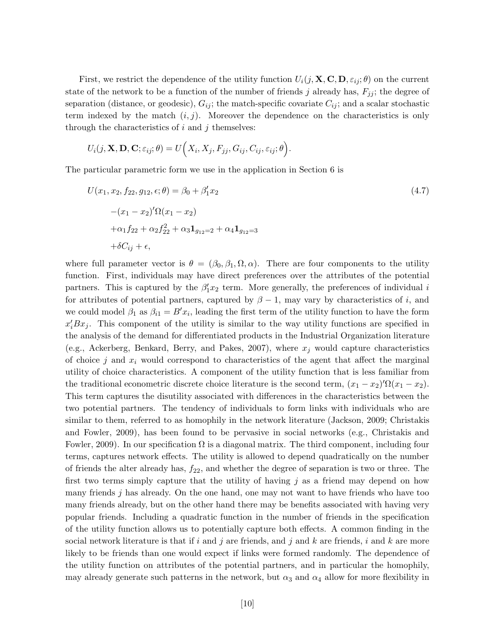First, we restrict the dependence of the utility function  $U_i(j, \mathbf{X}, \mathbf{C}, \mathbf{D}, \varepsilon_{ij}; \theta)$  on the current state of the network to be a function of the number of friends j already has,  $F_{jj}$ ; the degree of separation (distance, or geodesic),  $G_{ij}$ ; the match-specific covariate  $C_{ij}$ ; and a scalar stochastic term indexed by the match  $(i, j)$ . Moreover the dependence on the characteristics is only through the characteristics of  $i$  and  $j$  themselves:

$$
U_i(j, \mathbf{X}, \mathbf{D}, \mathbf{C}; \varepsilon_{ij}; \theta) = U\Big(X_i, X_j, F_{jj}, G_{ij}, C_{ij}, \varepsilon_{ij}; \theta\Big).
$$

The particular parametric form we use in the application in Section 6 is

$$
U(x_1, x_2, f_{22}, g_{12}, \epsilon; \theta) = \beta_0 + \beta'_1 x_2
$$
  
-(x<sub>1</sub> - x<sub>2</sub>)'\Omega(x<sub>1</sub> - x<sub>2</sub>)  
+ \alpha\_1 f\_{22} + \alpha\_2 f\_{22}^2 + \alpha\_3 \mathbf{1}\_{g\_{12}=2} + \alpha\_4 \mathbf{1}\_{g\_{12}=3}  
+ \delta C\_{ij} + \epsilon, (4.7)

where full parameter vector is  $\theta = (\beta_0, \beta_1, \Omega, \alpha)$ . There are four components to the utility function. First, individuals may have direct preferences over the attributes of the potential partners. This is captured by the  $\beta'_1 x_2$  term. More generally, the preferences of individual i for attributes of potential partners, captured by  $\beta - 1$ , may vary by characteristics of i, and we could model  $\beta_1$  as  $\beta_{i1} = B'x_i$ , leading the first term of the utility function to have the form  $x_i' B x_j$ . This component of the utility is similar to the way utility functions are specified in the analysis of the demand for differentiated products in the Industrial Organization literature (e.g., Ackerberg, Benkard, Berry, and Pakes, 2007), where  $x_j$  would capture characteristics of choice j and  $x_i$  would correspond to characteristics of the agent that affect the marginal utility of choice characteristics. A component of the utility function that is less familiar from the traditional econometric discrete choice literature is the second term,  $(x_1 - x_2)$ ' $\Omega(x_1 - x_2)$ . This term captures the disutility associated with differences in the characteristics between the two potential partners. The tendency of individuals to form links with individuals who are similar to them, referred to as homophily in the network literature (Jackson, 2009; Christakis and Fowler, 2009), has been found to be pervasive in social networks (e.g., Christakis and Fowler, 2009). In our specification  $\Omega$  is a diagonal matrix. The third component, including four terms, captures network effects. The utility is allowed to depend quadratically on the number of friends the alter already has,  $f_{22}$ , and whether the degree of separation is two or three. The first two terms simply capture that the utility of having  $j$  as a friend may depend on how many friends  $j$  has already. On the one hand, one may not want to have friends who have too many friends already, but on the other hand there may be benefits associated with having very popular friends. Including a quadratic function in the number of friends in the specification of the utility function allows us to potentially capture both effects. A common finding in the social network literature is that if i and j are friends, and j and k are friends, i and k are more likely to be friends than one would expect if links were formed randomly. The dependence of the utility function on attributes of the potential partners, and in particular the homophily, may already generate such patterns in the network, but  $\alpha_3$  and  $\alpha_4$  allow for more flexibility in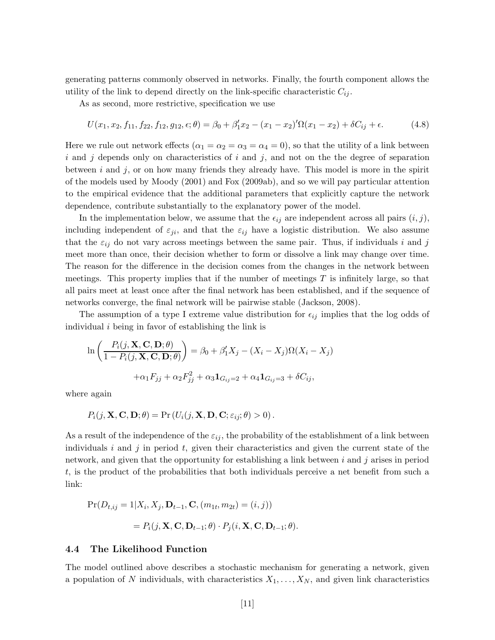generating patterns commonly observed in networks. Finally, the fourth component allows the utility of the link to depend directly on the link-specific characteristic  $C_{ij}$ .

As as second, more restrictive, specification we use

$$
U(x_1, x_2, f_{11}, f_{22}, f_{12}, g_{12}, \epsilon; \theta) = \beta_0 + \beta_1' x_2 - (x_1 - x_2)' \Omega(x_1 - x_2) + \delta C_{ij} + \epsilon.
$$
 (4.8)

Here we rule out network effects  $(\alpha_1 = \alpha_2 = \alpha_3 = \alpha_4 = 0)$ , so that the utility of a link between i and j depends only on characteristics of i and j, and not on the the degree of separation between  $i$  and  $j$ , or on how many friends they already have. This model is more in the spirit of the models used by Moody (2001) and Fox (2009ab), and so we will pay particular attention to the empirical evidence that the additional parameters that explicitly capture the network dependence, contribute substantially to the explanatory power of the model.

In the implementation below, we assume that the  $\epsilon_{ij}$  are independent across all pairs  $(i, j)$ , including independent of  $\varepsilon_{ji}$ , and that the  $\varepsilon_{ij}$  have a logistic distribution. We also assume that the  $\varepsilon_{ij}$  do not vary across meetings between the same pair. Thus, if individuals i and j meet more than once, their decision whether to form or dissolve a link may change over time. The reason for the difference in the decision comes from the changes in the network between meetings. This property implies that if the number of meetings  $T$  is infinitely large, so that all pairs meet at least once after the final network has been established, and if the sequence of networks converge, the final network will be pairwise stable (Jackson, 2008).

The assumption of a type I extreme value distribution for  $\epsilon_{ij}$  implies that the log odds of individual  $i$  being in favor of establishing the link is

$$
\ln\left(\frac{P_i(j, \mathbf{X}, \mathbf{C}, \mathbf{D}; \theta)}{1 - P_i(j, \mathbf{X}, \mathbf{C}, \mathbf{D}; \theta)}\right) = \beta_0 + \beta'_1 X_j - (X_i - X_j)\Omega(X_i - X_j)
$$

$$
+ \alpha_1 F_{jj} + \alpha_2 F_{jj}^2 + \alpha_3 \mathbf{1}_{G_{ij}=2} + \alpha_4 \mathbf{1}_{G_{ij}=3} + \delta C_{ij},
$$

where again

$$
P_i(j, \mathbf{X}, \mathbf{C}, \mathbf{D}; \theta) = \Pr\left(U_i(j, \mathbf{X}, \mathbf{D}, \mathbf{C}; \varepsilon_{ij}; \theta) > 0\right).
$$

As a result of the independence of the  $\varepsilon_{ij}$ , the probability of the establishment of a link between individuals  $i$  and  $j$  in period  $t$ , given their characteristics and given the current state of the network, and given that the opportunity for establishing a link between  $i$  and  $j$  arises in period t, is the product of the probabilities that both individuals perceive a net benefit from such a link:

$$
Pr(D_{t,ij} = 1 | X_i, X_j, \mathbf{D}_{t-1}, \mathbf{C}, (m_{1t}, m_{2t}) = (i, j))
$$
  
=  $P_i(j, \mathbf{X}, \mathbf{C}, \mathbf{D}_{t-1}; \theta) \cdot P_j(i, \mathbf{X}, \mathbf{C}, \mathbf{D}_{t-1}; \theta).$ 

### 4.4 The Likelihood Function

The model outlined above describes a stochastic mechanism for generating a network, given a population of N individuals, with characteristics  $X_1, \ldots, X_N$ , and given link characteristics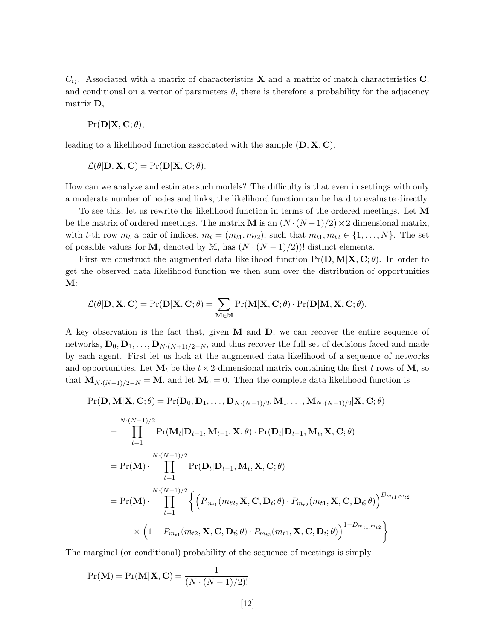$C_{ij}$ . Associated with a matrix of characteristics **X** and a matrix of match characteristics **C**, and conditional on a vector of parameters  $\theta$ , there is therefore a probability for the adjacency matrix D,

$$
\Pr(\mathbf{D}|\mathbf{X},\mathbf{C};\theta),
$$

leading to a likelihood function associated with the sample  $(D, X, C)$ ,

$$
\mathcal{L}(\theta|\mathbf{D}, \mathbf{X}, \mathbf{C}) = \Pr(\mathbf{D}|\mathbf{X}, \mathbf{C}; \theta).
$$

How can we analyze and estimate such models? The difficulty is that even in settings with only a moderate number of nodes and links, the likelihood function can be hard to evaluate directly.

To see this, let us rewrite the likelihood function in terms of the ordered meetings. Let M be the matrix of ordered meetings. The matrix **M** is an  $(N \cdot (N-1)/2) \times 2$  dimensional matrix, with t-th row  $m_t$  a pair of indices,  $m_t = (m_{t1}, m_{t2})$ , such that  $m_{t1}, m_{t2} \in \{1, ..., N\}$ . The set of possible values for M, denoted by M, has  $(N \cdot (N-1)/2)$ ! distinct elements.

First we construct the augmented data likelihood function  $Pr(\mathbf{D}, \mathbf{M}|\mathbf{X}, \mathbf{C}; \theta)$ . In order to get the observed data likelihood function we then sum over the distribution of opportunities M:

$$
\mathcal{L}(\theta|\mathbf{D},\mathbf{X},\mathbf{C})=\Pr(\mathbf{D}|\mathbf{X},\mathbf{C};\theta)=\sum_{\mathbf{M}\in\mathbb{M}}\Pr(\mathbf{M}|\mathbf{X},\mathbf{C};\theta)\cdot\Pr(\mathbf{D}|\mathbf{M},\mathbf{X},\mathbf{C};\theta).
$$

A key observation is the fact that, given M and D, we can recover the entire sequence of networks,  $\mathbf{D}_0$ ,  $\mathbf{D}_1$ , ...,  $\mathbf{D}_{N\cdot(N+1)/2-N}$ , and thus recover the full set of decisions faced and made by each agent. First let us look at the augmented data likelihood of a sequence of networks and opportunities. Let  $M_t$  be the  $t \times 2$ -dimensional matrix containing the first t rows of M, so that  $M_{N \cdot (N+1)/2-N} = M$ , and let  $M_0 = 0$ . Then the complete data likelihood function is

$$
Pr(\mathbf{D}, \mathbf{M}|\mathbf{X}, \mathbf{C}; \theta) = Pr(\mathbf{D}_0, \mathbf{D}_1, \dots, \mathbf{D}_{N \cdot (N-1)/2}, \mathbf{M}_1, \dots, \mathbf{M}_{N \cdot (N-1)/2}|\mathbf{X}, \mathbf{C}; \theta)
$$

$$
= \prod_{t=1}^{N \cdot (N-1)/2} \Pr(\mathbf{M}_t | \mathbf{D}_{t-1}, \mathbf{M}_{t-1}, \mathbf{X}; \theta) \cdot \Pr(\mathbf{D}_t | \mathbf{D}_{t-1}, \mathbf{M}_t, \mathbf{X}, \mathbf{C}; \theta)
$$
  
\n
$$
= \Pr(\mathbf{M}) \cdot \prod_{t=1}^{N \cdot (N-1)/2} \Pr(\mathbf{D}_t | \mathbf{D}_{t-1}, \mathbf{M}_t, \mathbf{X}, \mathbf{C}; \theta)
$$
  
\n
$$
= \Pr(\mathbf{M}) \cdot \prod_{t=1}^{N \cdot (N-1)/2} \left\{ \left( P_{m_{t1}}(m_{t2}, \mathbf{X}, \mathbf{C}, \mathbf{D}_t; \theta) \cdot P_{m_{t2}}(m_{t1}, \mathbf{X}, \mathbf{C}, \mathbf{D}_t; \theta) \right)^{D_{m_{t1}, m_{t2}}} \right\}
$$
  
\n
$$
\times \left( 1 - P_{m_{t1}}(m_{t2}, \mathbf{X}, \mathbf{C}, \mathbf{D}_t; \theta) \cdot P_{m_{t2}}(m_{t1}, \mathbf{X}, \mathbf{C}, \mathbf{D}_t; \theta) \right)^{1 - D_{m_{t1}, m_{t2}}} \right\}
$$

The marginal (or conditional) probability of the sequence of meetings is simply

$$
Pr(\mathbf{M}) = Pr(\mathbf{M}|\mathbf{X}, \mathbf{C}) = \frac{1}{(N \cdot (N-1)/2)!}.
$$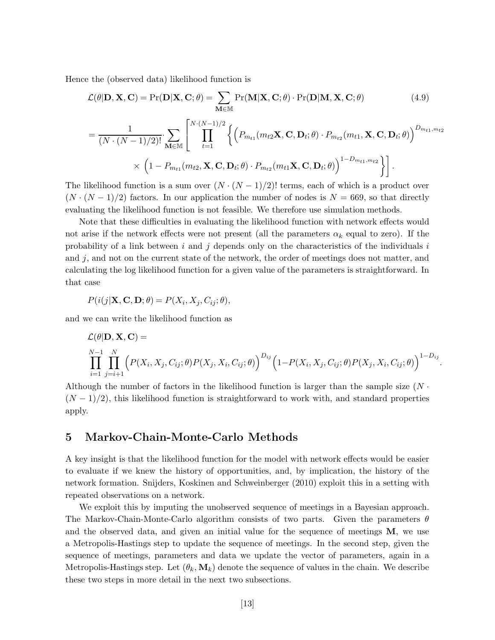Hence the (observed data) likelihood function is

$$
\mathcal{L}(\theta|\mathbf{D}, \mathbf{X}, \mathbf{C}) = \Pr(\mathbf{D}|\mathbf{X}, \mathbf{C}; \theta) = \sum_{\mathbf{M} \in \mathbb{M}} \Pr(\mathbf{M}|\mathbf{X}, \mathbf{C}; \theta) \cdot \Pr(\mathbf{D}|\mathbf{M}, \mathbf{X}, \mathbf{C}; \theta)
$$
(4.9)

$$
= \frac{1}{(N \cdot (N-1)/2)!} \cdot \sum_{\mathbf{M} \in \mathbb{M}} \left[ \prod_{t=1}^{N \cdot (N-1)/2} \left\{ \left( P_{m_{t1}}(m_{t2} \mathbf{X}, \mathbf{C}, \mathbf{D}_{t}; \theta) \cdot P_{m_{t2}}(m_{t1}, \mathbf{X}, \mathbf{C}, \mathbf{D}_{t}; \theta) \right)^{D_{m_{t1}, m_{t2}}} \right\} \times \left( 1 - P_{m_{t1}}(m_{t2}, \mathbf{X}, \mathbf{C}, \mathbf{D}_{t}; \theta) \cdot P_{m_{t2}}(m_{t1} \mathbf{X}, \mathbf{C}, \mathbf{D}_{t}; \theta) \right)^{1 - D_{m_{t1}, m_{t2}}} \right\} \right].
$$

The likelihood function is a sum over  $(N \cdot (N-1)/2)!$  terms, each of which is a product over  $(N \cdot (N-1)/2)$  factors. In our application the number of nodes is  $N = 669$ , so that directly evaluating the likelihood function is not feasible. We therefore use simulation methods.

Note that these difficulties in evaluating the likelihood function with network effects would not arise if the network effects were not present (all the parameters  $\alpha_k$  equal to zero). If the probability of a link between i and j depends only on the characteristics of the individuals i and  $j$ , and not on the current state of the network, the order of meetings does not matter, and calculating the log likelihood function for a given value of the parameters is straightforward. In that case

$$
P(i(j|\mathbf{X}, \mathbf{C}, \mathbf{D}; \theta) = P(X_i, X_j, C_{ij}; \theta),
$$

and we can write the likelihood function as

$$
\mathcal{L}(\theta|\mathbf{D}, \mathbf{X}, \mathbf{C}) =
$$
\n
$$
\prod_{i=1}^{N-1} \prod_{j=i+1}^{N} \left( P(X_i, X_j, C_{ij}; \theta) P(X_j, X_i, C_{ij}; \theta) \right)^{D_{ij}} \left( 1 - P(X_i, X_j, C_{ij}; \theta) P(X_j, X_i, C_{ij}; \theta) \right)^{1 - D_{ij}}.
$$

Although the number of factors in the likelihood function is larger than the sample size  $(N \cdot$  $(N-1)/2$ , this likelihood function is straightforward to work with, and standard properties apply.

### 5 Markov-Chain-Monte-Carlo Methods

A key insight is that the likelihood function for the model with network effects would be easier to evaluate if we knew the history of opportunities, and, by implication, the history of the network formation. Snijders, Koskinen and Schweinberger (2010) exploit this in a setting with repeated observations on a network.

We exploit this by imputing the unobserved sequence of meetings in a Bayesian approach. The Markov-Chain-Monte-Carlo algorithm consists of two parts. Given the parameters  $\theta$ and the observed data, and given an initial value for the sequence of meetings  $M$ , we use a Metropolis-Hastings step to update the sequence of meetings. In the second step, given the sequence of meetings, parameters and data we update the vector of parameters, again in a Metropolis-Hastings step. Let  $(\theta_k, \mathbf{M}_k)$  denote the sequence of values in the chain. We describe these two steps in more detail in the next two subsections.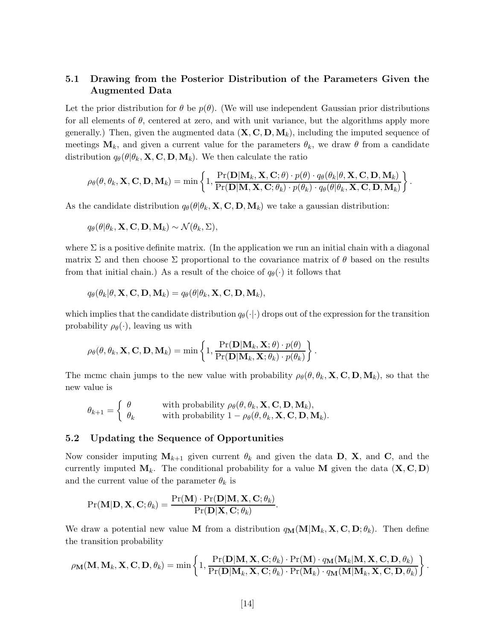### 5.1 Drawing from the Posterior Distribution of the Parameters Given the Augmented Data

Let the prior distribution for  $\theta$  be  $p(\theta)$ . (We will use independent Gaussian prior distributions for all elements of  $\theta$ , centered at zero, and with unit variance, but the algorithms apply more generally.) Then, given the augmented data  $(X, C, D, M_k)$ , including the imputed sequence of meetings  $M_k$ , and given a current value for the parameters  $\theta_k$ , we draw  $\theta$  from a candidate distribution  $q_{\theta}(\theta|\theta_k, \mathbf{X}, \mathbf{C}, \mathbf{D}, \mathbf{M}_k)$ . We then calculate the ratio

$$
\rho_{\theta}(\theta, \theta_k, \mathbf{X}, \mathbf{C}, \mathbf{D}, \mathbf{M}_k) = \min \left\{ 1, \frac{\Pr(\mathbf{D} | \mathbf{M}_k, \mathbf{X}, \mathbf{C}; \theta) \cdot p(\theta) \cdot q_{\theta}(\theta_k | \theta, \mathbf{X}, \mathbf{C}, \mathbf{D}, \mathbf{M}_k)}{\Pr(\mathbf{D} | \mathbf{M}, \mathbf{X}, \mathbf{C}; \theta_k) \cdot p(\theta_k) \cdot q_{\theta}(\theta | \theta_k, \mathbf{X}, \mathbf{C}, \mathbf{D}, \mathbf{M}_k)} \right\}.
$$

As the candidate distribution  $q_{\theta}(\theta|\theta_k, \mathbf{X}, \mathbf{C}, \mathbf{D}, \mathbf{M}_k)$  we take a gaussian distribution:

$$
q_{\theta}(\theta | \theta_k, \mathbf{X}, \mathbf{C}, \mathbf{D}, \mathbf{M}_k) \sim \mathcal{N}(\theta_k, \Sigma),
$$

where  $\Sigma$  is a positive definite matrix. (In the application we run an initial chain with a diagonal matrix  $\Sigma$  and then choose  $\Sigma$  proportional to the covariance matrix of  $\theta$  based on the results from that initial chain.) As a result of the choice of  $q_{\theta}(\cdot)$  it follows that

$$
q_{\theta}(\theta_k | \theta, \mathbf{X}, \mathbf{C}, \mathbf{D}, \mathbf{M}_k) = q_{\theta}(\theta | \theta_k, \mathbf{X}, \mathbf{C}, \mathbf{D}, \mathbf{M}_k),
$$

which implies that the candidate distribution  $q_{\theta}(\cdot|\cdot)$  drops out of the expression for the transition probability  $\rho_{\theta}(\cdot)$ , leaving us with

$$
\rho_{\theta}(\theta, \theta_k, \mathbf{X}, \mathbf{C}, \mathbf{D}, \mathbf{M}_k) = \min \left\{ 1, \frac{\Pr(\mathbf{D}|\mathbf{M}_k, \mathbf{X}; \theta) \cdot p(\theta)}{\Pr(\mathbf{D}|\mathbf{M}_k, \mathbf{X}; \theta_k) \cdot p(\theta_k)} \right\}.
$$

The mcmc chain jumps to the new value with probability  $\rho_{\theta}(\theta, \theta_k, \mathbf{X}, \mathbf{C}, \mathbf{D}, \mathbf{M}_k)$ , so that the new value is

$$
\theta_{k+1} = \begin{cases} \theta & \text{with probability } \rho_\theta(\theta, \theta_k, \mathbf{X}, \mathbf{C}, \mathbf{D}, \mathbf{M}_k), \\ \theta_k & \text{with probability } 1 - \rho_\theta(\theta, \theta_k, \mathbf{X}, \mathbf{C}, \mathbf{D}, \mathbf{M}_k). \end{cases}
$$

### 5.2 Updating the Sequence of Opportunities

Now consider imputing  $M_{k+1}$  given current  $\theta_k$  and given the data D, X, and C, and the currently imputed  $\mathbf{M}_k$ . The conditional probability for a value M given the data  $(\mathbf{X}, \mathbf{C}, \mathbf{D})$ and the current value of the parameter  $\theta_k$  is

$$
\Pr(\mathbf{M}|\mathbf{D},\mathbf{X},\mathbf{C};\theta_k) = \frac{\Pr(\mathbf{M}) \cdot \Pr(\mathbf{D}|\mathbf{M},\mathbf{X},\mathbf{C};\theta_k)}{\Pr(\mathbf{D}|\mathbf{X},\mathbf{C};\theta_k)}.
$$

We draw a potential new value M from a distribution  $q_{\mathbf{M}}(\mathbf{M}|\mathbf{M}_k,\mathbf{X},\mathbf{C},\mathbf{D};\theta_k)$ . Then define the transition probability

$$
\rho_{\mathbf{M}}(\mathbf{M}, \mathbf{M}_k, \mathbf{X}, \mathbf{C}, \mathbf{D}, \theta_k) = \min \left\{ 1, \frac{\Pr(\mathbf{D}|\mathbf{M}, \mathbf{X}, \mathbf{C}; \theta_k) \cdot \Pr(\mathbf{M}) \cdot q_{\mathbf{M}}(\mathbf{M}_k|\mathbf{M}, \mathbf{X}, \mathbf{C}, \mathbf{D}, \theta_k)}{\Pr(\mathbf{D}|\mathbf{M}_k, \mathbf{X}, \mathbf{C}; \theta_k) \cdot \Pr(\mathbf{M}_k) \cdot q_{\mathbf{M}}(\mathbf{M}|\mathbf{M}_k, \mathbf{X}, \mathbf{C}, \mathbf{D}, \theta_k)} \right\}.
$$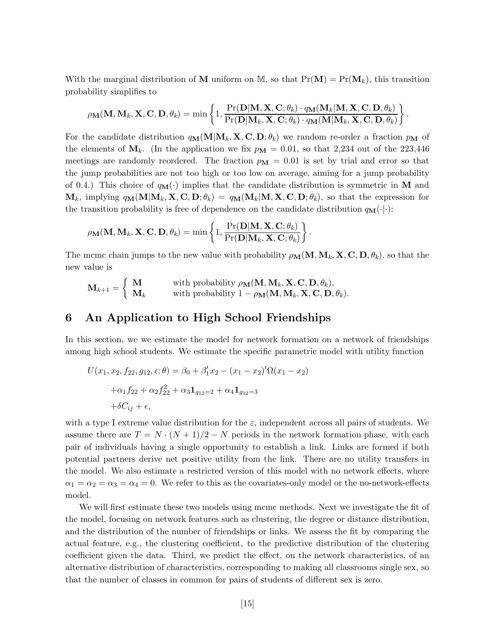With the marginal distribution of M uniform on M, so that  $Pr(\mathbf{M}) = Pr(\mathbf{M}_k)$ , this transition probability simplifies to

$$
\rho_{\mathbf{M}}(\mathbf{M}, \mathbf{M}_k, \mathbf{X}, \mathbf{C}, \mathbf{D}, \theta_k) = \min \left\{ 1, \frac{\Pr(\mathbf{D}|\mathbf{M}, \mathbf{X}, \mathbf{C}; \theta_k) \cdot q_{\mathbf{M}}(\mathbf{M}_k|\mathbf{M}, \mathbf{X}, \mathbf{C}, \mathbf{D}, \theta_k)}{\Pr(\mathbf{D}|\mathbf{M}_k, \mathbf{X}, \mathbf{C}; \theta_k) \cdot q_{\mathbf{M}}(\mathbf{M}|\mathbf{M}_k, \mathbf{X}, \mathbf{C}, \mathbf{D}, \theta_k)} \right\}
$$

.

For the candidate distribution  $q_M(M|M_k, X, C, D; \theta_k)$  we random re-order a fraction  $p_M$  of the elements of  $M_k$ . (In the application we fix  $p_M = 0.01$ , so that 2,234 out of the 223,446 meetings are randomly reordered. The fraction  $p_M = 0.01$  is set by trial and error so that the jump probabilities are not too high or too low on average, aiming for a jump probability of 0.4.) This choice of  $q_M(\cdot)$  implies that the candidate distribution is symmetric in M and  $\mathbf{M}_k$ , implying  $q_{\mathbf{M}}(\mathbf{M}|\mathbf{M}_k,\mathbf{X},\mathbf{C},\mathbf{D};\theta_k) = q_{\mathbf{M}}(\mathbf{M}_k|\mathbf{M},\mathbf{X},\mathbf{C},\mathbf{D};\theta_k)$ , so that the expression for the transition probability is free of dependence on the candidate distribution  $q_{\mathbf{M}}(\cdot|\cdot)$ :

$$
\rho_{\mathbf{M}}(\mathbf{M}, \mathbf{M}_k, \mathbf{X}, \mathbf{C}, \mathbf{D}, \theta_k) = \min \left\{ 1, \frac{\Pr(\mathbf{D}|\mathbf{M}, \mathbf{X}, \mathbf{C}; \theta_k)}{\Pr(\mathbf{D}|\mathbf{M}_k, \mathbf{X}, \mathbf{C}; \theta_k)} \right\}.
$$

The mcmc chain jumps to the new value with probability  $\rho_M(\mathbf{M}, \mathbf{M}_k, \mathbf{X}, \mathbf{C}, \mathbf{D}, \theta_k)$ , so that the new value is

$$
\mathbf{M}_{k+1} = \left\{ \begin{array}{ll} \mathbf{M} & \text{with probability } \rho_{\mathbf{M}}(\mathbf{M}, \mathbf{M}_k, \mathbf{X}, \mathbf{C}, \mathbf{D}, \theta_k), \\ \mathbf{M}_k & \text{with probability } 1 - \rho_{\mathbf{M}}(\mathbf{M}, \mathbf{M}_k, \mathbf{X}, \mathbf{C}, \mathbf{D}, \theta_k). \end{array} \right.
$$

# 6 An Application to High School Friendships

In this section, we we estimate the model for network formation on a network of friendships among high school students. We estimate the specific parametric model with utility function

$$
U(x_1, x_2, f_{22}, g_{12}, \epsilon; \theta) = \beta_0 + \beta'_1 x_2 - (x_1 - x_2)' \Omega(x_1 - x_2)
$$

$$
+ \alpha_1 f_{22} + \alpha_2 f_{22}^2 + \alpha_3 \mathbf{1}_{g_{12}=2} + \alpha_4 \mathbf{1}_{g_{12}=3}
$$

$$
+ \delta C_{ij} + \epsilon,
$$

with a type I extreme value distribution for the  $\varepsilon$ , independent across all pairs of students. We assume there are  $T = N \cdot (N + 1)/2 - N$  periods in the network formation phase, with each pair of individuals having a single opportunity to establish a link. Links are formed if both potential partners derive net positive utility from the link. There are no utility transfers in the model. We also estimate a restricted version of this model with no network effects, where  $\alpha_1 = \alpha_2 = \alpha_3 = \alpha_4 = 0$ . We refer to this as the covariates-only model or the no-network-effects model.

We will first estimate these two models using mcmc methods. Next we investigate the fit of the model, focusing on network features such as clustering, the degree or distance distribution, and the distribution of the number of friendships or links. We assess the fit by comparing the actual feature, e.g., the clustering coefficient, to the predictive distribution of the clustering coefficient given the data. Third, we predict the effect, on the network characteristics, of an alternative distribution of characteristics, corresponding to making all classrooms single sex, so that the number of classes in common for pairs of students of different sex is zero.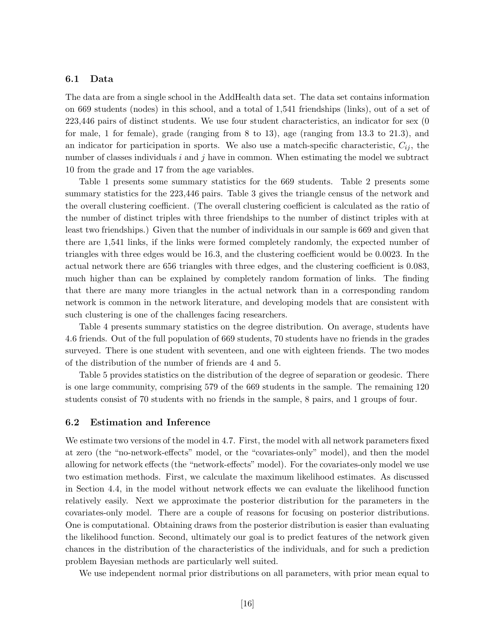### 6.1 Data

The data are from a single school in the AddHealth data set. The data set contains information on 669 students (nodes) in this school, and a total of 1,541 friendships (links), out of a set of 223,446 pairs of distinct students. We use four student characteristics, an indicator for sex (0 for male, 1 for female), grade (ranging from 8 to 13), age (ranging from 13.3 to 21.3), and an indicator for participation in sports. We also use a match-specific characteristic,  $C_{ij}$ , the number of classes individuals  $i$  and  $j$  have in common. When estimating the model we subtract 10 from the grade and 17 from the age variables.

Table 1 presents some summary statistics for the 669 students. Table 2 presents some summary statistics for the 223,446 pairs. Table 3 gives the triangle census of the network and the overall clustering coefficient. (The overall clustering coefficient is calculated as the ratio of the number of distinct triples with three friendships to the number of distinct triples with at least two friendships.) Given that the number of individuals in our sample is 669 and given that there are 1,541 links, if the links were formed completely randomly, the expected number of triangles with three edges would be 16.3, and the clustering coefficient would be 0.0023. In the actual network there are 656 triangles with three edges, and the clustering coefficient is 0.083, much higher than can be explained by completely random formation of links. The finding that there are many more triangles in the actual network than in a corresponding random network is common in the network literature, and developing models that are consistent with such clustering is one of the challenges facing researchers.

Table 4 presents summary statistics on the degree distribution. On average, students have 4.6 friends. Out of the full population of 669 students, 70 students have no friends in the grades surveyed. There is one student with seventeen, and one with eighteen friends. The two modes of the distribution of the number of friends are 4 and 5.

Table 5 provides statistics on the distribution of the degree of separation or geodesic. There is one large community, comprising 579 of the 669 students in the sample. The remaining 120 students consist of 70 students with no friends in the sample, 8 pairs, and 1 groups of four.

### 6.2 Estimation and Inference

We estimate two versions of the model in 4.7. First, the model with all network parameters fixed at zero (the "no-network-effects" model, or the "covariates-only" model), and then the model allowing for network effects (the "network-effects" model). For the covariates-only model we use two estimation methods. First, we calculate the maximum likelihood estimates. As discussed in Section 4.4, in the model without network effects we can evaluate the likelihood function relatively easily. Next we approximate the posterior distribution for the parameters in the covariates-only model. There are a couple of reasons for focusing on posterior distributions. One is computational. Obtaining draws from the posterior distribution is easier than evaluating the likelihood function. Second, ultimately our goal is to predict features of the network given chances in the distribution of the characteristics of the individuals, and for such a prediction problem Bayesian methods are particularly well suited.

We use independent normal prior distributions on all parameters, with prior mean equal to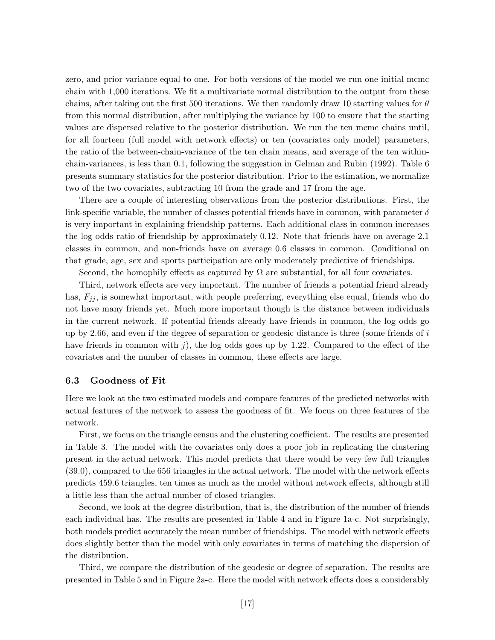zero, and prior variance equal to one. For both versions of the model we run one initial mcmc chain with 1,000 iterations. We fit a multivariate normal distribution to the output from these chains, after taking out the first 500 iterations. We then randomly draw 10 starting values for  $\theta$ from this normal distribution, after multiplying the variance by 100 to ensure that the starting values are dispersed relative to the posterior distribution. We run the ten mcmc chains until, for all fourteen (full model with network effects) or ten (covariates only model) parameters, the ratio of the between-chain-variance of the ten chain means, and average of the ten withinchain-variances, is less than 0.1, following the suggestion in Gelman and Rubin (1992). Table 6 presents summary statistics for the posterior distribution. Prior to the estimation, we normalize two of the two covariates, subtracting 10 from the grade and 17 from the age.

There are a couple of interesting observations from the posterior distributions. First, the link-specific variable, the number of classes potential friends have in common, with parameter  $\delta$ is very important in explaining friendship patterns. Each additional class in common increases the log odds ratio of friendship by approximately 0.12. Note that friends have on average 2.1 classes in common, and non-friends have on average 0.6 classes in common. Conditional on that grade, age, sex and sports participation are only moderately predictive of friendships.

Second, the homophily effects as captured by  $\Omega$  are substantial, for all four covariates.

Third, network effects are very important. The number of friends a potential friend already has,  $F_{jj}$ , is somewhat important, with people preferring, everything else equal, friends who do not have many friends yet. Much more important though is the distance between individuals in the current network. If potential friends already have friends in common, the log odds go up by 2.66, and even if the degree of separation or geodesic distance is three (some friends of  $i$ have friends in common with j), the log odds goes up by 1.22. Compared to the effect of the covariates and the number of classes in common, these effects are large.

### 6.3 Goodness of Fit

Here we look at the two estimated models and compare features of the predicted networks with actual features of the network to assess the goodness of fit. We focus on three features of the network.

First, we focus on the triangle census and the clustering coefficient. The results are presented in Table 3. The model with the covariates only does a poor job in replicating the clustering present in the actual network. This model predicts that there would be very few full triangles (39.0), compared to the 656 triangles in the actual network. The model with the network effects predicts 459.6 triangles, ten times as much as the model without network effects, although still a little less than the actual number of closed triangles.

Second, we look at the degree distribution, that is, the distribution of the number of friends each individual has. The results are presented in Table 4 and in Figure 1a-c. Not surprisingly, both models predict accurately the mean number of friendships. The model with network effects does slightly better than the model with only covariates in terms of matching the dispersion of the distribution.

Third, we compare the distribution of the geodesic or degree of separation. The results are presented in Table 5 and in Figure 2a-c. Here the model with network effects does a considerably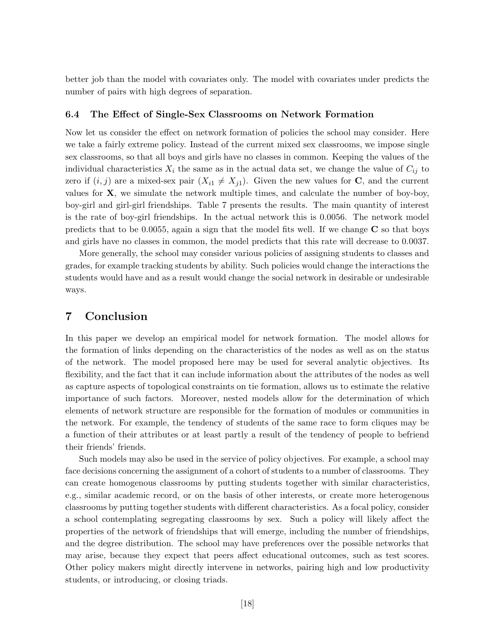better job than the model with covariates only. The model with covariates under predicts the number of pairs with high degrees of separation.

### 6.4 The Effect of Single-Sex Classrooms on Network Formation

Now let us consider the effect on network formation of policies the school may consider. Here we take a fairly extreme policy. Instead of the current mixed sex classrooms, we impose single sex classrooms, so that all boys and girls have no classes in common. Keeping the values of the individual characteristics  $X_i$  the same as in the actual data set, we change the value of  $C_{ij}$  to zero if  $(i, j)$  are a mixed-sex pair  $(X_{i1} \neq X_{j1})$ . Given the new values for **C**, and the current values for X, we simulate the network multiple times, and calculate the number of boy-boy, boy-girl and girl-girl friendships. Table 7 presents the results. The main quantity of interest is the rate of boy-girl friendships. In the actual network this is 0.0056. The network model predicts that to be 0.0055, again a sign that the model fits well. If we change  $C$  so that boys and girls have no classes in common, the model predicts that this rate will decrease to 0.0037.

More generally, the school may consider various policies of assigning students to classes and grades, for example tracking students by ability. Such policies would change the interactions the students would have and as a result would change the social network in desirable or undesirable ways.

### 7 Conclusion

In this paper we develop an empirical model for network formation. The model allows for the formation of links depending on the characteristics of the nodes as well as on the status of the network. The model proposed here may be used for several analytic objectives. Its flexibility, and the fact that it can include information about the attributes of the nodes as well as capture aspects of topological constraints on tie formation, allows us to estimate the relative importance of such factors. Moreover, nested models allow for the determination of which elements of network structure are responsible for the formation of modules or communities in the network. For example, the tendency of students of the same race to form cliques may be a function of their attributes or at least partly a result of the tendency of people to befriend their friends' friends.

Such models may also be used in the service of policy objectives. For example, a school may face decisions concerning the assignment of a cohort of students to a number of classrooms. They can create homogenous classrooms by putting students together with similar characteristics, e.g., similar academic record, or on the basis of other interests, or create more heterogenous classrooms by putting together students with different characteristics. As a focal policy, consider a school contemplating segregating classrooms by sex. Such a policy will likely affect the properties of the network of friendships that will emerge, including the number of friendships, and the degree distribution. The school may have preferences over the possible networks that may arise, because they expect that peers affect educational outcomes, such as test scores. Other policy makers might directly intervene in networks, pairing high and low productivity students, or introducing, or closing triads.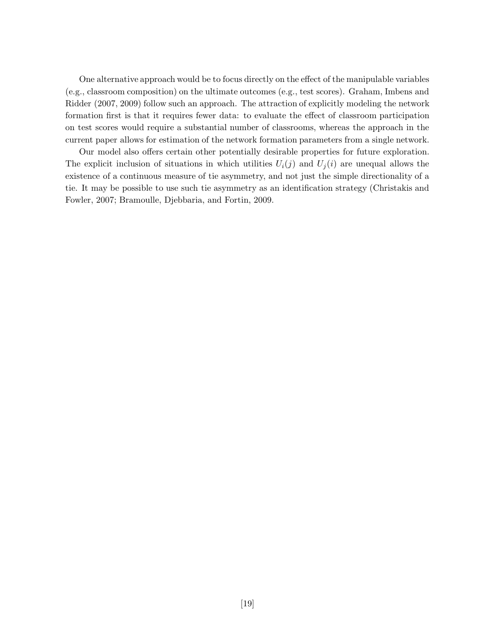One alternative approach would be to focus directly on the effect of the manipulable variables (e.g., classroom composition) on the ultimate outcomes (e.g., test scores). Graham, Imbens and Ridder (2007, 2009) follow such an approach. The attraction of explicitly modeling the network formation first is that it requires fewer data: to evaluate the effect of classroom participation on test scores would require a substantial number of classrooms, whereas the approach in the current paper allows for estimation of the network formation parameters from a single network.

Our model also offers certain other potentially desirable properties for future exploration. The explicit inclusion of situations in which utilities  $U_i(j)$  and  $U_j(i)$  are unequal allows the existence of a continuous measure of tie asymmetry, and not just the simple directionality of a tie. It may be possible to use such tie asymmetry as an identification strategy (Christakis and Fowler, 2007; Bramoulle, Djebbaria, and Fortin, 2009.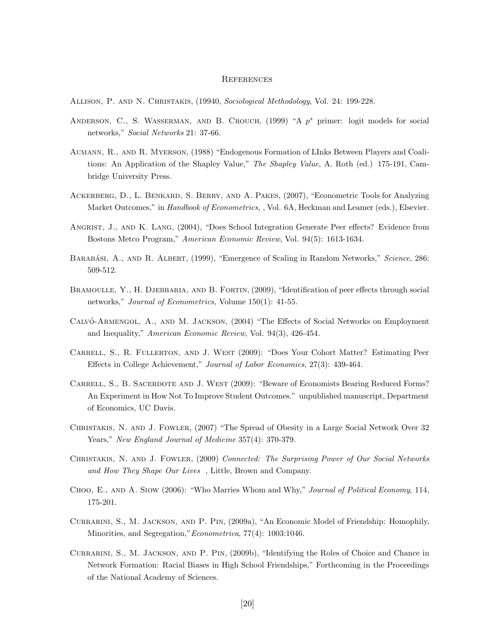#### **REFERENCES**

- Allison, P. and N. Christakis, (19940, Sociological Methodology, Vol. 24: 199-228.
- ANDERSON, C., S. WASSERMAN, AND B. CROUCH, (1999) "A  $p^*$  primer: logit models for social networks," Social Networks 21: 37-66.
- Aumann, R., and R. Myerson, (1988) "Endogenous Formation of LInks Between Players and Coalitions: An Application of the Shapley Value," The Shapley Value, A. Roth (ed.) 175-191, Cambridge University Press.
- Ackerberg, D., L. Benkard, S. Berry, and A. Pakes, (2007), "Econometric Tools for Analyzing Market Outcomes," in Handbook of Econometrics, , Vol. 6A, Heckman and Leamer (eds.), Elsevier.
- Angrist, J., and K. Lang, (2004), "Does School Integration Generate Peer effects? Evidence from Bostons Metco Program," American Economic Review, Vol. 94(5): 1613-1634.
- BARABÁSI, A., AND R. ALBERT, (1999), "Emergence of Scaling in Random Networks," Science, 286: 509-512.
- BRAMOULLE, Y., H. DJEBBARIA, AND B. FORTIN, (2009), "Identification of peer effects through social networks," Journal of Econometrics, Volume 150(1): 41-55.
- CALVÓ-ARMENGOL, A., AND M. JACKSON, (2004) "The Effects of Social Networks on Employment and Inequality," American Economic Review, Vol. 94(3), 426-454.
- Carrell, S., R. Fullerton, and J. West (2009): "Does Your Cohort Matter? Estimating Peer Effects in College Achievement," Journal of Labor Economics, 27(3): 439-464.
- CARRELL, S., B. SACERDOTE AND J. WEST (2009): "Beware of Economists Bearing Reduced Forms? An Experiment in How Not To Improve Student Outcomes." unpublished manuscript, Department of Economics, UC Davis.
- Christakis, N. and J. Fowler, (2007) "The Spread of Obesity in a Large Social Network Over 32 Years," New England Journal of Medicine 357(4): 370-379.
- Christakis, N. and J. Fowler, (2009) Connected: The Surprising Power of Our Social Networks and How They Shape Our Lives , Little, Brown and Company.
- Choo, E., and A. Siow (2006): "Who Marries Whom and Why," Journal of Political Economy, 114, 175-201.
- Currarini, S., M. Jackson, and P. Pin, (2009a), "An Economic Model of Friendship: Homophily, Minorities, and Segregation,"Econometrica, 77(4): 1003:1046.
- Currarini, S., M. Jackson, and P. Pin, (2009b), "Identifying the Roles of Choice and Chance in Network Formation: Racial Biases in High School Friendships," Forthcoming in the Proceedings of the National Academy of Sciences.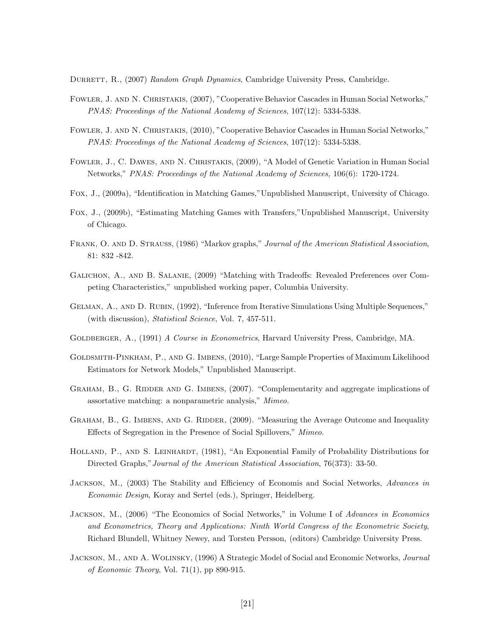DURRETT, R., (2007) Random Graph Dynamics, Cambridge University Press, Cambridge.

- Fowler, J. and N. Christakis, (2007), "Cooperative Behavior Cascades in Human Social Networks," PNAS: Proceedings of the National Academy of Sciences, 107(12): 5334-5338.
- Fowler, J. and N. Christakis, (2010), "Cooperative Behavior Cascades in Human Social Networks," PNAS: Proceedings of the National Academy of Sciences, 107(12): 5334-5338.
- Fowler, J., C. Dawes, and N. Christakis, (2009), "A Model of Genetic Variation in Human Social Networks," PNAS: Proceedings of the National Academy of Sciences, 106(6): 1720-1724.
- Fox, J., (2009a), "Identification in Matching Games,"Unpublished Manuscript, University of Chicago.
- Fox, J., (2009b), "Estimating Matching Games with Transfers,"Unpublished Manuscript, University of Chicago.
- Frank, O. and D. Strauss, (1986) "Markov graphs," Journal of the American Statistical Association, 81: 832 -842.
- Galichon, A., and B. Salanie, (2009) "Matching with Tradeoffs: Revealed Preferences over Competing Characteristics," unpublished working paper, Columbia University.
- GELMAN, A., AND D. RUBIN, (1992), "Inference from Iterative Simulations Using Multiple Sequences," (with discussion), Statistical Science, Vol. 7, 457-511.
- GOLDBERGER, A., (1991) A Course in Econometrics, Harvard University Press, Cambridge, MA.
- GOLDSMITH-PINKHAM, P., AND G. IMBENS, (2010), "Large Sample Properties of Maximum Likelihood Estimators for Network Models," Unpublished Manuscript.
- GRAHAM, B., G. RIDDER AND G. IMBENS, (2007). "Complementarity and aggregate implications of assortative matching: a nonparametric analysis," Mimeo.
- GRAHAM, B., G. IMBENS, AND G. RIDDER, (2009). "Measuring the Average Outcome and Inequality Effects of Segregation in the Presence of Social Spillovers," Mimeo.
- HOLLAND, P., AND S. LEINHARDT, (1981), "An Exponential Family of Probability Distributions for Directed Graphs,"Journal of the American Statistical Association, 76(373): 33-50.
- JACKSON, M., (2003) The Stability and Efficiency of Economis and Social Networks, Advances in Economic Design, Koray and Sertel (eds.), Springer, Heidelberg.
- Jackson, M., (2006) "The Economics of Social Networks," in Volume I of Advances in Economics and Econometrics, Theory and Applications: Ninth World Congress of the Econometric Society, Richard Blundell, Whitney Newey, and Torsten Persson, (editors) Cambridge University Press.
- JACKSON, M., AND A. WOLINSKY, (1996) A Strategic Model of Social and Economic Networks, *Journal* of Economic Theory, Vol. 71(1), pp 890-915.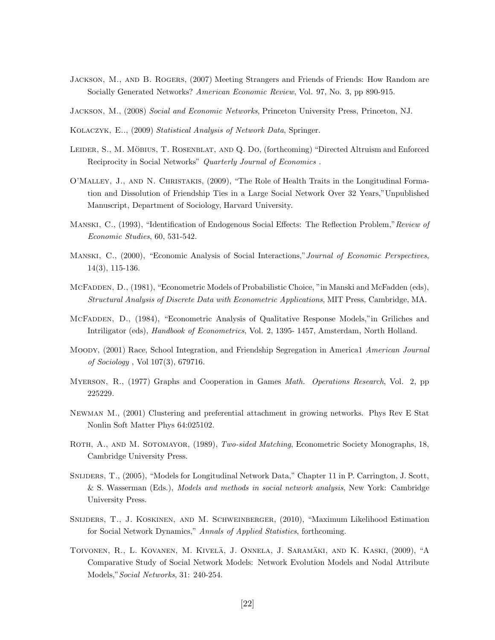- Jackson, M., and B. Rogers, (2007) Meeting Strangers and Friends of Friends: How Random are Socially Generated Networks? American Economic Review, Vol. 97, No. 3, pp 890-915.
- Jackson, M., (2008) Social and Economic Networks, Princeton University Press, Princeton, NJ.
- Kolaczyk, E.., (2009) Statistical Analysis of Network Data, Springer.
- LEIDER, S., M. MÖBIUS, T. ROSENBLAT, AND Q. DO, (forthcoming) "Directed Altruism and Enforced Reciprocity in Social Networks" Quarterly Journal of Economics .
- O'Malley, J., and N. Christakis, (2009), "The Role of Health Traits in the Longitudinal Formation and Dissolution of Friendship Ties in a Large Social Network Over 32 Years,"Unpublished Manuscript, Department of Sociology, Harvard University.
- MANSKI, C., (1993), "Identification of Endogenous Social Effects: The Reflection Problem," Review of Economic Studies, 60, 531-542.
- Manski, C., (2000), "Economic Analysis of Social Interactions,"Journal of Economic Perspectives, 14(3), 115-136.
- McFadden, D., (1981), "Econometric Models of Probabilistic Choice, "in Manski and McFadden (eds), Structural Analysis of Discrete Data with Econometric Applications, MIT Press, Cambridge, MA.
- McFadden, D., (1984), "Econometric Analysis of Qualitative Response Models,"in Griliches and Intriligator (eds), Handbook of Econometrics, Vol. 2, 1395- 1457, Amsterdam, North Holland.
- Moody, (2001) Race, School Integration, and Friendship Segregation in America1 American Journal of Sociology , Vol 107(3), 679716.
- MYERSON, R., (1977) Graphs and Cooperation in Games Math. Operations Research, Vol. 2, pp 225229.
- Newman M., (2001) Clustering and preferential attachment in growing networks. Phys Rev E Stat Nonlin Soft Matter Phys 64:025102.
- ROTH, A., AND M. SOTOMAYOR, (1989), Two-sided Matching, Econometric Society Monographs, 18, Cambridge University Press.
- Snijders, T., (2005), "Models for Longitudinal Network Data," Chapter 11 in P. Carrington, J. Scott, & S. Wasserman (Eds.), Models and methods in social network analysis, New York: Cambridge University Press.
- Snijders, T., J. Koskinen, and M. Schweinberger, (2010), "Maximum Likelihood Estimation for Social Network Dynamics," Annals of Applied Statistics, forthcoming.
- TOIVONEN, R., L. KOVANEN, M. KIVELÄ, J. ONNELA, J. SARAMÄKI, AND K. KASKI, (2009), "A Comparative Study of Social Network Models: Network Evolution Models and Nodal Attribute Models,"Social Networks, 31: 240-254.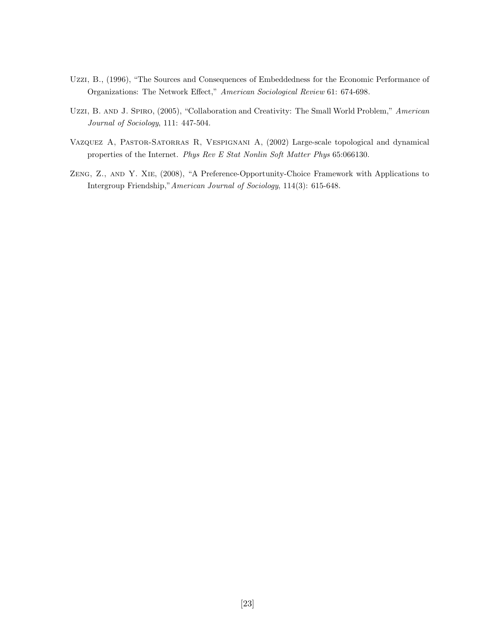- Uzzi, B., (1996), "The Sources and Consequences of Embeddedness for the Economic Performance of Organizations: The Network Effect," American Sociological Review 61: 674-698.
- Uzzi, B. AND J. SPIRO, (2005), "Collaboration and Creativity: The Small World Problem," American Journal of Sociology, 111: 447-504.
- VAZQUEZ A, PASTOR-SATORRAS R, VESPIGNANI A, (2002) Large-scale topological and dynamical properties of the Internet. Phys Rev E Stat Nonlin Soft Matter Phys 65:066130.
- Zeng, Z., and Y. Xie, (2008), "A Preference-Opportunity-Choice Framework with Applications to Intergroup Friendship,"American Journal of Sociology, 114(3): 615-648.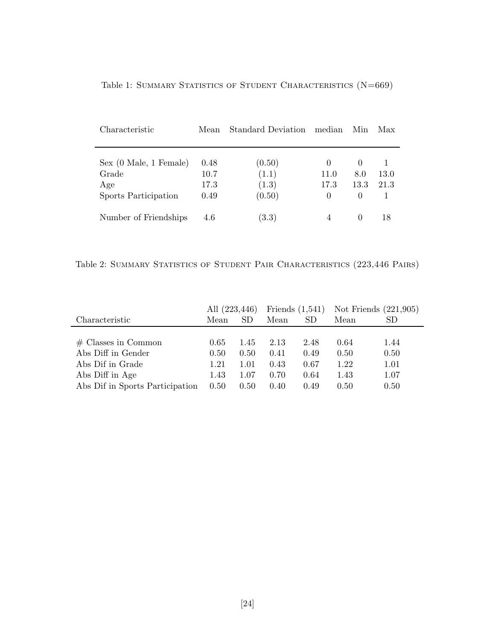| Characteristic                                | Mean                 | Standard Deviation median |                              | Min                     | Max          |
|-----------------------------------------------|----------------------|---------------------------|------------------------------|-------------------------|--------------|
| Sex (0 Male, 1 Female)<br>Grade<br>Age        | 0.48<br>10.7<br>17.3 | (0.50)<br>(1.1)<br>(1.3)  | $\mathbf{0}$<br>11.0<br>17.3 | $\theta$<br>8.0<br>13.3 | 13.0<br>21.3 |
| Sports Participation<br>Number of Friendships | 0.49<br>4.6          | (0.50)<br>(3.3)           | 0<br>4                       | $\Omega$<br>$\theta$    | 1<br>18      |

Table 1: SUMMARY STATISTICS OF STUDENT CHARACTERISTICS (N=669)

|  |  |  |  |  |  | Table 2: SUMMARY STATISTICS OF STUDENT PAIR CHARACTERISTICS (223,446 PAIRS) |  |  |
|--|--|--|--|--|--|-----------------------------------------------------------------------------|--|--|
|--|--|--|--|--|--|-----------------------------------------------------------------------------|--|--|

|                                 | All (223,446) |           | Friends $(1,541)$ |      | Not Friends $(221,905)$ |      |
|---------------------------------|---------------|-----------|-------------------|------|-------------------------|------|
| Characteristic                  | Mean          | <b>SD</b> | Mean              | SD   | Mean                    | SD   |
|                                 |               |           |                   |      |                         |      |
| $\#$ Classes in Common          | 0.65          | 1.45      | 2.13              | 2.48 | 0.64                    | 1.44 |
| Abs Diff in Gender              | 0.50          | 0.50      | 0.41              | 0.49 | 0.50                    | 0.50 |
| Abs Dif in Grade                | 1.21          | 1.01      | 0.43              | 0.67 | 1.22                    | 1.01 |
| Abs Diff in Age                 | 1.43          | 1.07      | 0.70              | 0.64 | 1.43                    | 1.07 |
| Abs Dif in Sports Participation | 0.50          | 0.50      | 0.40              | 0.49 | 0.50                    | 0.50 |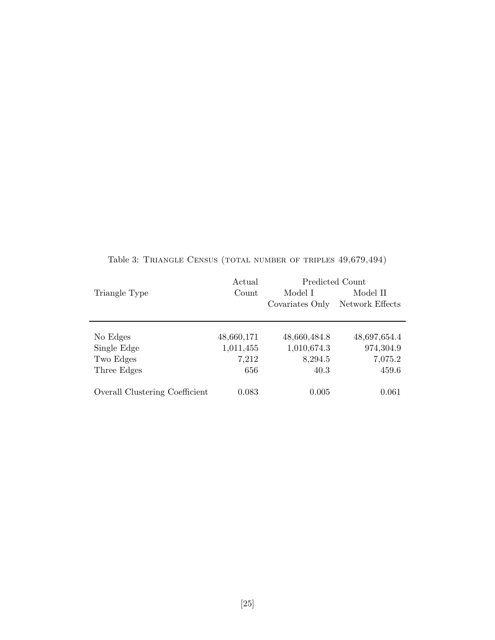|                                | Actual     | Predicted Count |                 |  |
|--------------------------------|------------|-----------------|-----------------|--|
| Triangle Type                  | Count      | Model I         | Model II        |  |
|                                |            | Covariates Only | Network Effects |  |
|                                |            |                 |                 |  |
|                                |            |                 |                 |  |
| No Edges                       | 48,660,171 | 48,660,484.8    | 48,697,654.4    |  |
| Single Edge                    | 1,011,455  | 1,010,674.3     | 974,304.9       |  |
| Two Edges                      | 7,212      | 8,294.5         | 7,075.2         |  |
| Three Edges                    | 656        | 40.3            | 459.6           |  |
|                                |            |                 |                 |  |
| Overall Clustering Coefficient | 0.083      | 0.005           | 0.061           |  |

Table 3: Triangle Census (total number of triples 49,679,494)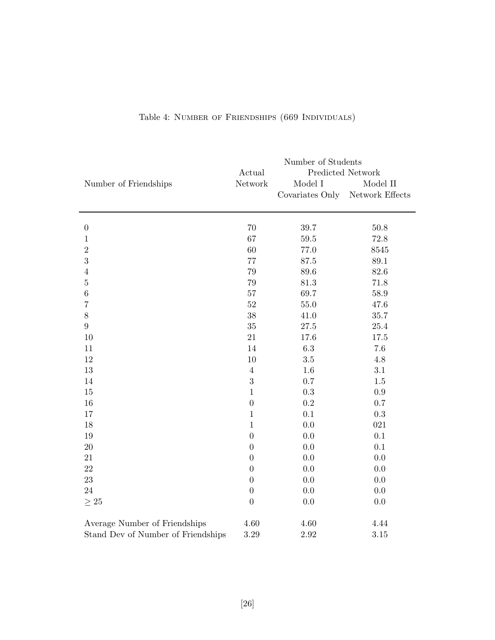|                                    | Number of Students |                 |                   |  |  |  |  |
|------------------------------------|--------------------|-----------------|-------------------|--|--|--|--|
|                                    | Actual             |                 | Predicted Network |  |  |  |  |
| Number of Friendships              | Network            | Model I         | Model II          |  |  |  |  |
|                                    |                    | Covariates Only | Network Effects   |  |  |  |  |
|                                    |                    |                 |                   |  |  |  |  |
| $\boldsymbol{0}$                   | 70                 | 39.7            | $50.8\,$          |  |  |  |  |
| $\,1$                              | 67                 | $59.5\,$        | 72.8              |  |  |  |  |
| $\overline{2}$                     | 60                 | 77.0            | 8545              |  |  |  |  |
| 3                                  | $77\,$             | 87.5            | $89.1\,$          |  |  |  |  |
| $\sqrt{4}$                         | 79                 | 89.6            | 82.6              |  |  |  |  |
| $\bf 5$                            | $79\,$             | 81.3            | 71.8              |  |  |  |  |
| $\,6$                              | $57\,$             | 69.7            | 58.9              |  |  |  |  |
| $\overline{7}$                     | $52\,$             | 55.0            | 47.6              |  |  |  |  |
| $8\,$                              | 38                 | 41.0            | $35.7\,$          |  |  |  |  |
| $\boldsymbol{9}$                   | $35\,$             | $27.5\,$        | $25.4\,$          |  |  |  |  |
| 10                                 | $21\,$             | 17.6            | 17.5              |  |  |  |  |
| 11                                 | 14                 | $6.3\,$         | $7.6\,$           |  |  |  |  |
| 12                                 | 10                 | $3.5\,$         | 4.8               |  |  |  |  |
| 13                                 | $\sqrt{4}$         | 1.6             | $3.1\,$           |  |  |  |  |
| 14                                 | 3                  | 0.7             | 1.5               |  |  |  |  |
| $15\,$                             | $\,1\,$            | $\rm 0.3$       | 0.9               |  |  |  |  |
| 16                                 | $\boldsymbol{0}$   | $\rm 0.2$       | 0.7               |  |  |  |  |
| 17                                 | $\mathbf{1}$       | 0.1             | $\rm 0.3$         |  |  |  |  |
| 18                                 | $\,1\,$            | $0.0\,$         | 021               |  |  |  |  |
| $19\,$                             | $\boldsymbol{0}$   | 0.0             | 0.1               |  |  |  |  |
| $20\,$                             | $\boldsymbol{0}$   | 0.0             | 0.1               |  |  |  |  |
| $21\,$                             | $\boldsymbol{0}$   | 0.0             | 0.0               |  |  |  |  |
| 22                                 | $\boldsymbol{0}$   | 0.0             | 0.0               |  |  |  |  |
| $23\,$                             | $\boldsymbol{0}$   | 0.0             | 0.0               |  |  |  |  |
| 24                                 | $\boldsymbol{0}$   | 0.0             | 0.0               |  |  |  |  |
| $\geq 25$                          | $\boldsymbol{0}$   | 0.0             | 0.0               |  |  |  |  |
| Average Number of Friendships      | 4.60               | 4.60            | 4.44              |  |  |  |  |
| Stand Dev of Number of Friendships | 3.29               | 2.92            | 3.15              |  |  |  |  |

# Table 4: Number of Friendships (669 Individuals)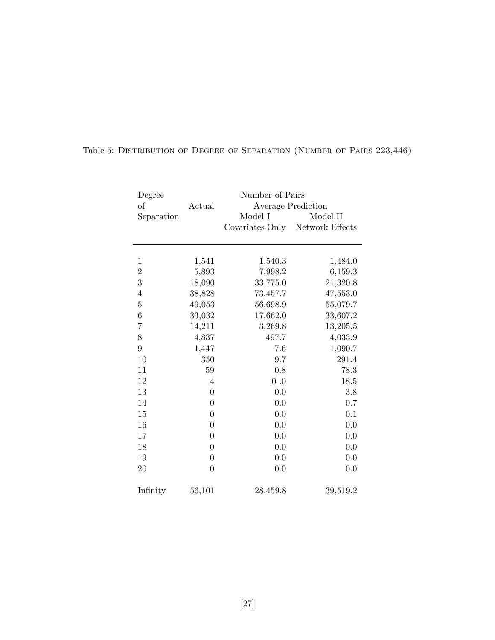| Degree           |                | Number of Pairs           |                 |  |  |  |  |  |
|------------------|----------------|---------------------------|-----------------|--|--|--|--|--|
| of               | Actual         | <b>Average Prediction</b> |                 |  |  |  |  |  |
| Separation       |                | Model I                   | Model II        |  |  |  |  |  |
|                  |                | Covariates Only           | Network Effects |  |  |  |  |  |
|                  |                |                           |                 |  |  |  |  |  |
| $\mathbf{1}$     | 1,541          | 1,540.3                   | 1,484.0         |  |  |  |  |  |
| $\overline{2}$   | 5,893          | 7,998.2                   | 6,159.3         |  |  |  |  |  |
| 3                |                |                           |                 |  |  |  |  |  |
|                  | 18,090         | 33,775.0                  | 21,320.8        |  |  |  |  |  |
| $\overline{4}$   | 38,828         | 73,457.7                  | 47,553.0        |  |  |  |  |  |
| $\overline{5}$   | 49,053         | 56,698.9                  | 55,079.7        |  |  |  |  |  |
| $\boldsymbol{6}$ | 33,032         | 17,662.0                  | 33,607.2        |  |  |  |  |  |
| 7                | 14,211         | 3,269.8                   | 13,205.5        |  |  |  |  |  |
| 8                | 4,837          | 497.7                     | 4,033.9         |  |  |  |  |  |
| $9\phantom{.0}$  | 1,447          | 7.6                       | 1,090.7         |  |  |  |  |  |
| 10               | 350            | 9.7                       | 291.4           |  |  |  |  |  |
| 11               | 59             | 0.8                       | 78.3            |  |  |  |  |  |
| 12               | 4              | 0.0                       | 18.5            |  |  |  |  |  |
| 13               | $\overline{0}$ | 0.0                       | 3.8             |  |  |  |  |  |
| 14               | $\overline{0}$ | 0.0                       | 0.7             |  |  |  |  |  |
| 15               | $\overline{0}$ | 0.0                       | 0.1             |  |  |  |  |  |
| 16               | $\overline{0}$ | 0.0                       | 0.0             |  |  |  |  |  |
| 17               | $\overline{0}$ | 0.0                       | 0.0             |  |  |  |  |  |
| 18               | $\overline{0}$ | 0.0                       | 0.0             |  |  |  |  |  |
| 19               | $\overline{0}$ | 0.0                       | 0.0             |  |  |  |  |  |
| 20               | $\overline{0}$ | 0.0                       | 0.0             |  |  |  |  |  |
| Infinity         | 56,101         | 28,459.8                  | 39,519.2        |  |  |  |  |  |

Table 5: Distribution of Degree of Separation (Number of Pairs 223,446)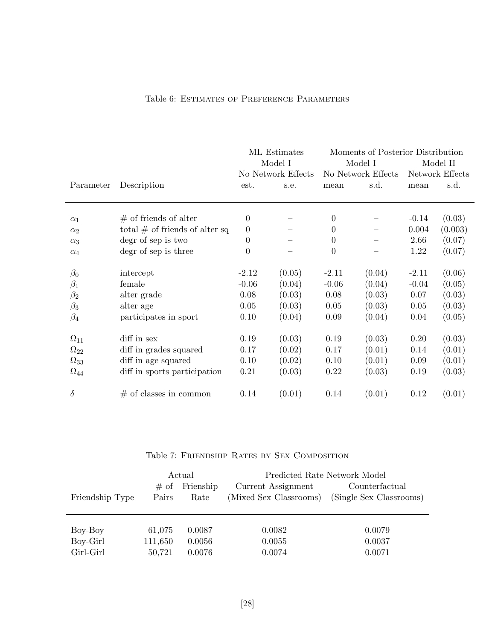|               |                                   |                  | ML Estimates<br>Model I | Moments of Posterior Distribution<br>Model I<br>No Network Effects |        | Model II<br>Network Effects |         |
|---------------|-----------------------------------|------------------|-------------------------|--------------------------------------------------------------------|--------|-----------------------------|---------|
|               |                                   |                  | No Network Effects      |                                                                    |        |                             |         |
| Parameter     | Description                       | est.             | s.e.                    | mean                                                               | s.d.   | mean                        | s.d.    |
| $\alpha_1$    | $#$ of friends of alter           | $\overline{0}$   |                         | $\overline{0}$                                                     |        | $-0.14$                     | (0.03)  |
| $\alpha_2$    | total $\#$ of friends of alter sq | $\boldsymbol{0}$ |                         | $\boldsymbol{0}$                                                   |        | 0.004                       | (0.003) |
| $\alpha_3$    | degr of sep is two                | $\boldsymbol{0}$ |                         | $\boldsymbol{0}$                                                   |        | 2.66                        | (0.07)  |
| $\alpha_4$    | degr of sep is three              | $\overline{0}$   |                         | $\boldsymbol{0}$                                                   |        | 1.22                        | (0.07)  |
| $\beta_0$     | intercept                         | $-2.12$          | (0.05)                  | $-2.11$                                                            | (0.04) | $-2.11$                     | (0.06)  |
| $\beta_1$     | female                            | $-0.06$          | (0.04)                  | $-0.06$                                                            | (0.04) | $-0.04$                     | (0.05)  |
| $\beta_2$     | alter grade                       | 0.08             | (0.03)                  | 0.08                                                               | (0.03) | 0.07                        | (0.03)  |
| $\beta_3$     | alter age                         | 0.05             | (0.03)                  | $0.05\,$                                                           | (0.03) | 0.05                        | (0.03)  |
| $\beta_4$     | participates in sport             | 0.10             | (0.04)                  | $0.09\,$                                                           | (0.04) | 0.04                        | (0.05)  |
| $\Omega_{11}$ | diff in sex                       | 0.19             | (0.03)                  | 0.19                                                               | (0.03) | 0.20                        | (0.03)  |
| $\Omega_{22}$ | diff in grades squared            | 0.17             | (0.02)                  | 0.17                                                               | (0.01) | 0.14                        | (0.01)  |
| $\Omega_{33}$ | diff in age squared               | 0.10             | (0.02)                  | 0.10                                                               | (0.01) | 0.09                        | (0.01)  |
| $\Omega_{44}$ | diff in sports participation      | 0.21             | (0.03)                  | 0.22                                                               | (0.03) | 0.19                        | (0.03)  |
| $\delta$      | $#$ of classes in common          | 0.14             | (0.01)                  | 0.14                                                               | (0.01) | 0.12                        | (0.01)  |

### Table 6: Estimates of Preference Parameters

Table 7: Friendship Rates by Sex Composition

|                 | Actual        |                   | Predicted Rate Network Model                 |                                           |  |  |
|-----------------|---------------|-------------------|----------------------------------------------|-------------------------------------------|--|--|
| Friendship Type | # of<br>Pairs | Frienship<br>Rate | Current Assignment<br>(Mixed Sex Classrooms) | Counterfactual<br>(Single Sex Classrooms) |  |  |
|                 |               |                   |                                              |                                           |  |  |
| Boy-Boy         | 61,075        | 0.0087            | 0.0082                                       | 0.0079                                    |  |  |
| Boy-Girl        | 111,650       | 0.0056            | 0.0055                                       | 0.0037                                    |  |  |
| Girl-Girl       | 50,721        | 0.0076            | 0.0074                                       | 0.0071                                    |  |  |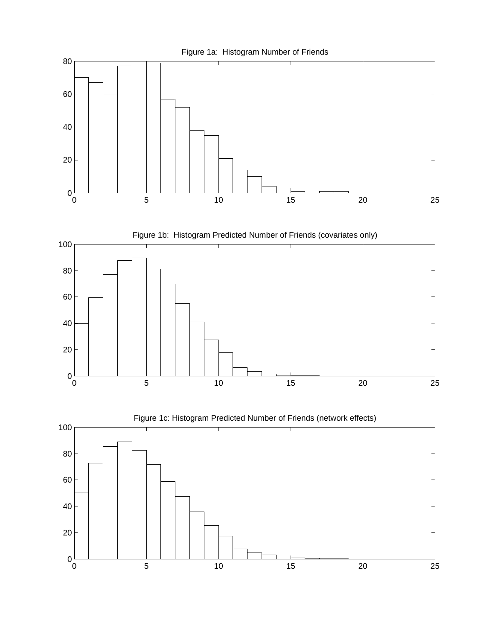

Figure 1b: Histogram Predicted Number of Friends (covariates only)